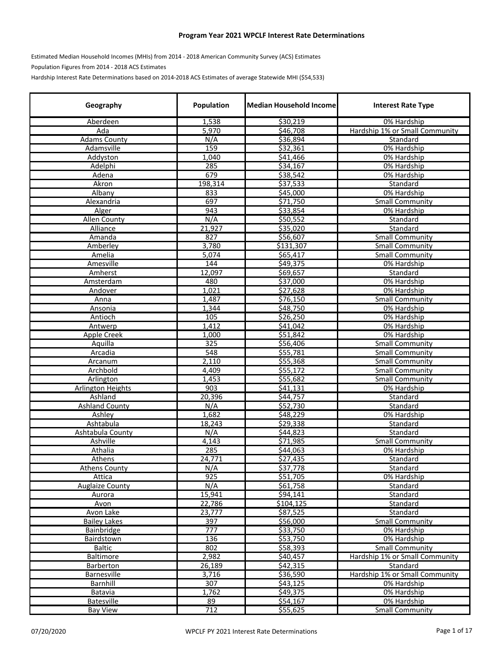## **Program Year 2021 WPCLF Interest Rate Determinations**

Estimated Median Household Incomes (MHIs) from 2014 ‐ 2018 American Community Survey (ACS) Estimates

Population Figures from 2014 ‐ 2018 ACS Estimates

Hardship Interest Rate Determinations based on 2014‐2018 ACS Estimates of average Statewide MHI (\$54,533)

| 1,538<br>\$30,219<br>0% Hardship<br><b>Aberdeen</b><br>5,970<br>\$46,708<br>Hardship 1% or Small Community<br>Ada<br>N/A<br>\$36,894<br>Standard<br><b>Adams County</b><br>159<br>Adamsville<br>\$32,361<br>0% Hardship<br>1,040<br>\$41,466<br>0% Hardship<br>Addyston<br>Adelphi<br>285<br>534,167<br>0% Hardship<br>679<br>Adena<br>\$38,542<br>0% Hardship<br>198,314<br>\$37,533<br>Akron<br>Standard<br>Albany<br>833<br>\$45,000<br>0% Hardship<br>697<br>\$71,750<br>Alexandria<br><b>Small Community</b><br>943<br>\$33,854<br>Alger<br>0% Hardship<br>Allen County<br>N/A<br>\$50,552<br>Standard<br>Alliance<br>21,927<br>\$35,020<br>Standard<br>827<br>\$56,607<br><b>Small Community</b><br>Amanda<br>Amberley<br>3,780<br>\$131,307<br><b>Small Community</b><br>5,074<br>565,417<br>Amelia<br><b>Small Community</b><br>Amesville<br>144<br>\$49,375<br>0% Hardship<br>Amherst<br>12,097<br>\$69,657<br>Standard<br>480<br>\$37,000<br>0% Hardship<br>Amsterdam<br>\$27,628<br>1,021<br>0% Hardship<br>Andover<br>1,487<br>\$76,150<br><b>Small Community</b><br>Anna<br>1,344<br>\$48,750<br>0% Hardship<br>Ansonia<br>105<br>\$26,250<br>Antioch<br>0% Hardship<br>1,412<br>\$41,042<br>0% Hardship<br>Antwerp<br>Apple Creek<br>1,000<br>\$51,842<br>0% Hardship<br>325<br>Aquilla<br>\$56,406<br><b>Small Community</b><br>548<br>Arcadia<br>\$55,781<br><b>Small Community</b><br>\$55,368<br>2,110<br><b>Small Community</b><br>Arcanum<br>Archbold<br>4,409<br>\$55,172<br><b>Small Community</b><br>\$55,682<br>Arlington<br>1,453<br><b>Small Community</b><br>$\overline{903}$<br><b>Arlington Heights</b><br>\$41,131<br>0% Hardship<br>Ashland<br>20,396<br>\$44,757<br>Standard<br>N/A<br>\$52,730<br><b>Ashland County</b><br>Standard<br>Ashley<br>1,682<br>\$48,229<br>0% Hardship<br>Ashtabula<br>18,243<br>\$29,338<br>Standard<br>N/A<br>Ashtabula County<br>\$44,823<br>Standard<br>Ashville<br>4,143<br>\$71,985<br><b>Small Community</b><br>Athalia<br>285<br>\$44,063<br>0% Hardship<br>24,771<br>\$27,435<br>Athens<br>Standard<br>N/A<br>\$37,778<br><b>Athens County</b><br>Standard<br>$\overline{925}$<br>\$51,705<br>Attica<br>0% Hardship<br><b>Auglaize County</b><br>N/A<br>\$61,758<br>Standard<br>15,941<br>\$94,141<br>Standard<br>Aurora<br>22,786<br>\$104,125<br>Avon<br>Standard<br>\$87,525<br>Avon Lake<br>23,777<br>Standard<br>$\overline{397}$<br><b>Bailey Lakes</b><br>\$56,000<br><b>Small Community</b><br>777<br>\$33,750<br>0% Hardship<br>Bainbridge<br>136<br>\$53,750<br>0% Hardship<br>Bairdstown<br>802<br>\$58,393<br><b>Small Community</b><br><b>Baltic</b> | Geography | Population | <b>Median Household Income</b> | <b>Interest Rate Type</b> |
|----------------------------------------------------------------------------------------------------------------------------------------------------------------------------------------------------------------------------------------------------------------------------------------------------------------------------------------------------------------------------------------------------------------------------------------------------------------------------------------------------------------------------------------------------------------------------------------------------------------------------------------------------------------------------------------------------------------------------------------------------------------------------------------------------------------------------------------------------------------------------------------------------------------------------------------------------------------------------------------------------------------------------------------------------------------------------------------------------------------------------------------------------------------------------------------------------------------------------------------------------------------------------------------------------------------------------------------------------------------------------------------------------------------------------------------------------------------------------------------------------------------------------------------------------------------------------------------------------------------------------------------------------------------------------------------------------------------------------------------------------------------------------------------------------------------------------------------------------------------------------------------------------------------------------------------------------------------------------------------------------------------------------------------------------------------------------------------------------------------------------------------------------------------------------------------------------------------------------------------------------------------------------------------------------------------------------------------------------------------------------------------------------------------------------------------------------------------------------------------------------------------------------------------------------------------------------------------------------------------------------------------|-----------|------------|--------------------------------|---------------------------|
|                                                                                                                                                                                                                                                                                                                                                                                                                                                                                                                                                                                                                                                                                                                                                                                                                                                                                                                                                                                                                                                                                                                                                                                                                                                                                                                                                                                                                                                                                                                                                                                                                                                                                                                                                                                                                                                                                                                                                                                                                                                                                                                                                                                                                                                                                                                                                                                                                                                                                                                                                                                                                                        |           |            |                                |                           |
|                                                                                                                                                                                                                                                                                                                                                                                                                                                                                                                                                                                                                                                                                                                                                                                                                                                                                                                                                                                                                                                                                                                                                                                                                                                                                                                                                                                                                                                                                                                                                                                                                                                                                                                                                                                                                                                                                                                                                                                                                                                                                                                                                                                                                                                                                                                                                                                                                                                                                                                                                                                                                                        |           |            |                                |                           |
|                                                                                                                                                                                                                                                                                                                                                                                                                                                                                                                                                                                                                                                                                                                                                                                                                                                                                                                                                                                                                                                                                                                                                                                                                                                                                                                                                                                                                                                                                                                                                                                                                                                                                                                                                                                                                                                                                                                                                                                                                                                                                                                                                                                                                                                                                                                                                                                                                                                                                                                                                                                                                                        |           |            |                                |                           |
|                                                                                                                                                                                                                                                                                                                                                                                                                                                                                                                                                                                                                                                                                                                                                                                                                                                                                                                                                                                                                                                                                                                                                                                                                                                                                                                                                                                                                                                                                                                                                                                                                                                                                                                                                                                                                                                                                                                                                                                                                                                                                                                                                                                                                                                                                                                                                                                                                                                                                                                                                                                                                                        |           |            |                                |                           |
|                                                                                                                                                                                                                                                                                                                                                                                                                                                                                                                                                                                                                                                                                                                                                                                                                                                                                                                                                                                                                                                                                                                                                                                                                                                                                                                                                                                                                                                                                                                                                                                                                                                                                                                                                                                                                                                                                                                                                                                                                                                                                                                                                                                                                                                                                                                                                                                                                                                                                                                                                                                                                                        |           |            |                                |                           |
|                                                                                                                                                                                                                                                                                                                                                                                                                                                                                                                                                                                                                                                                                                                                                                                                                                                                                                                                                                                                                                                                                                                                                                                                                                                                                                                                                                                                                                                                                                                                                                                                                                                                                                                                                                                                                                                                                                                                                                                                                                                                                                                                                                                                                                                                                                                                                                                                                                                                                                                                                                                                                                        |           |            |                                |                           |
|                                                                                                                                                                                                                                                                                                                                                                                                                                                                                                                                                                                                                                                                                                                                                                                                                                                                                                                                                                                                                                                                                                                                                                                                                                                                                                                                                                                                                                                                                                                                                                                                                                                                                                                                                                                                                                                                                                                                                                                                                                                                                                                                                                                                                                                                                                                                                                                                                                                                                                                                                                                                                                        |           |            |                                |                           |
|                                                                                                                                                                                                                                                                                                                                                                                                                                                                                                                                                                                                                                                                                                                                                                                                                                                                                                                                                                                                                                                                                                                                                                                                                                                                                                                                                                                                                                                                                                                                                                                                                                                                                                                                                                                                                                                                                                                                                                                                                                                                                                                                                                                                                                                                                                                                                                                                                                                                                                                                                                                                                                        |           |            |                                |                           |
|                                                                                                                                                                                                                                                                                                                                                                                                                                                                                                                                                                                                                                                                                                                                                                                                                                                                                                                                                                                                                                                                                                                                                                                                                                                                                                                                                                                                                                                                                                                                                                                                                                                                                                                                                                                                                                                                                                                                                                                                                                                                                                                                                                                                                                                                                                                                                                                                                                                                                                                                                                                                                                        |           |            |                                |                           |
|                                                                                                                                                                                                                                                                                                                                                                                                                                                                                                                                                                                                                                                                                                                                                                                                                                                                                                                                                                                                                                                                                                                                                                                                                                                                                                                                                                                                                                                                                                                                                                                                                                                                                                                                                                                                                                                                                                                                                                                                                                                                                                                                                                                                                                                                                                                                                                                                                                                                                                                                                                                                                                        |           |            |                                |                           |
|                                                                                                                                                                                                                                                                                                                                                                                                                                                                                                                                                                                                                                                                                                                                                                                                                                                                                                                                                                                                                                                                                                                                                                                                                                                                                                                                                                                                                                                                                                                                                                                                                                                                                                                                                                                                                                                                                                                                                                                                                                                                                                                                                                                                                                                                                                                                                                                                                                                                                                                                                                                                                                        |           |            |                                |                           |
|                                                                                                                                                                                                                                                                                                                                                                                                                                                                                                                                                                                                                                                                                                                                                                                                                                                                                                                                                                                                                                                                                                                                                                                                                                                                                                                                                                                                                                                                                                                                                                                                                                                                                                                                                                                                                                                                                                                                                                                                                                                                                                                                                                                                                                                                                                                                                                                                                                                                                                                                                                                                                                        |           |            |                                |                           |
|                                                                                                                                                                                                                                                                                                                                                                                                                                                                                                                                                                                                                                                                                                                                                                                                                                                                                                                                                                                                                                                                                                                                                                                                                                                                                                                                                                                                                                                                                                                                                                                                                                                                                                                                                                                                                                                                                                                                                                                                                                                                                                                                                                                                                                                                                                                                                                                                                                                                                                                                                                                                                                        |           |            |                                |                           |
|                                                                                                                                                                                                                                                                                                                                                                                                                                                                                                                                                                                                                                                                                                                                                                                                                                                                                                                                                                                                                                                                                                                                                                                                                                                                                                                                                                                                                                                                                                                                                                                                                                                                                                                                                                                                                                                                                                                                                                                                                                                                                                                                                                                                                                                                                                                                                                                                                                                                                                                                                                                                                                        |           |            |                                |                           |
|                                                                                                                                                                                                                                                                                                                                                                                                                                                                                                                                                                                                                                                                                                                                                                                                                                                                                                                                                                                                                                                                                                                                                                                                                                                                                                                                                                                                                                                                                                                                                                                                                                                                                                                                                                                                                                                                                                                                                                                                                                                                                                                                                                                                                                                                                                                                                                                                                                                                                                                                                                                                                                        |           |            |                                |                           |
|                                                                                                                                                                                                                                                                                                                                                                                                                                                                                                                                                                                                                                                                                                                                                                                                                                                                                                                                                                                                                                                                                                                                                                                                                                                                                                                                                                                                                                                                                                                                                                                                                                                                                                                                                                                                                                                                                                                                                                                                                                                                                                                                                                                                                                                                                                                                                                                                                                                                                                                                                                                                                                        |           |            |                                |                           |
|                                                                                                                                                                                                                                                                                                                                                                                                                                                                                                                                                                                                                                                                                                                                                                                                                                                                                                                                                                                                                                                                                                                                                                                                                                                                                                                                                                                                                                                                                                                                                                                                                                                                                                                                                                                                                                                                                                                                                                                                                                                                                                                                                                                                                                                                                                                                                                                                                                                                                                                                                                                                                                        |           |            |                                |                           |
|                                                                                                                                                                                                                                                                                                                                                                                                                                                                                                                                                                                                                                                                                                                                                                                                                                                                                                                                                                                                                                                                                                                                                                                                                                                                                                                                                                                                                                                                                                                                                                                                                                                                                                                                                                                                                                                                                                                                                                                                                                                                                                                                                                                                                                                                                                                                                                                                                                                                                                                                                                                                                                        |           |            |                                |                           |
|                                                                                                                                                                                                                                                                                                                                                                                                                                                                                                                                                                                                                                                                                                                                                                                                                                                                                                                                                                                                                                                                                                                                                                                                                                                                                                                                                                                                                                                                                                                                                                                                                                                                                                                                                                                                                                                                                                                                                                                                                                                                                                                                                                                                                                                                                                                                                                                                                                                                                                                                                                                                                                        |           |            |                                |                           |
|                                                                                                                                                                                                                                                                                                                                                                                                                                                                                                                                                                                                                                                                                                                                                                                                                                                                                                                                                                                                                                                                                                                                                                                                                                                                                                                                                                                                                                                                                                                                                                                                                                                                                                                                                                                                                                                                                                                                                                                                                                                                                                                                                                                                                                                                                                                                                                                                                                                                                                                                                                                                                                        |           |            |                                |                           |
|                                                                                                                                                                                                                                                                                                                                                                                                                                                                                                                                                                                                                                                                                                                                                                                                                                                                                                                                                                                                                                                                                                                                                                                                                                                                                                                                                                                                                                                                                                                                                                                                                                                                                                                                                                                                                                                                                                                                                                                                                                                                                                                                                                                                                                                                                                                                                                                                                                                                                                                                                                                                                                        |           |            |                                |                           |
|                                                                                                                                                                                                                                                                                                                                                                                                                                                                                                                                                                                                                                                                                                                                                                                                                                                                                                                                                                                                                                                                                                                                                                                                                                                                                                                                                                                                                                                                                                                                                                                                                                                                                                                                                                                                                                                                                                                                                                                                                                                                                                                                                                                                                                                                                                                                                                                                                                                                                                                                                                                                                                        |           |            |                                |                           |
|                                                                                                                                                                                                                                                                                                                                                                                                                                                                                                                                                                                                                                                                                                                                                                                                                                                                                                                                                                                                                                                                                                                                                                                                                                                                                                                                                                                                                                                                                                                                                                                                                                                                                                                                                                                                                                                                                                                                                                                                                                                                                                                                                                                                                                                                                                                                                                                                                                                                                                                                                                                                                                        |           |            |                                |                           |
|                                                                                                                                                                                                                                                                                                                                                                                                                                                                                                                                                                                                                                                                                                                                                                                                                                                                                                                                                                                                                                                                                                                                                                                                                                                                                                                                                                                                                                                                                                                                                                                                                                                                                                                                                                                                                                                                                                                                                                                                                                                                                                                                                                                                                                                                                                                                                                                                                                                                                                                                                                                                                                        |           |            |                                |                           |
|                                                                                                                                                                                                                                                                                                                                                                                                                                                                                                                                                                                                                                                                                                                                                                                                                                                                                                                                                                                                                                                                                                                                                                                                                                                                                                                                                                                                                                                                                                                                                                                                                                                                                                                                                                                                                                                                                                                                                                                                                                                                                                                                                                                                                                                                                                                                                                                                                                                                                                                                                                                                                                        |           |            |                                |                           |
|                                                                                                                                                                                                                                                                                                                                                                                                                                                                                                                                                                                                                                                                                                                                                                                                                                                                                                                                                                                                                                                                                                                                                                                                                                                                                                                                                                                                                                                                                                                                                                                                                                                                                                                                                                                                                                                                                                                                                                                                                                                                                                                                                                                                                                                                                                                                                                                                                                                                                                                                                                                                                                        |           |            |                                |                           |
|                                                                                                                                                                                                                                                                                                                                                                                                                                                                                                                                                                                                                                                                                                                                                                                                                                                                                                                                                                                                                                                                                                                                                                                                                                                                                                                                                                                                                                                                                                                                                                                                                                                                                                                                                                                                                                                                                                                                                                                                                                                                                                                                                                                                                                                                                                                                                                                                                                                                                                                                                                                                                                        |           |            |                                |                           |
|                                                                                                                                                                                                                                                                                                                                                                                                                                                                                                                                                                                                                                                                                                                                                                                                                                                                                                                                                                                                                                                                                                                                                                                                                                                                                                                                                                                                                                                                                                                                                                                                                                                                                                                                                                                                                                                                                                                                                                                                                                                                                                                                                                                                                                                                                                                                                                                                                                                                                                                                                                                                                                        |           |            |                                |                           |
|                                                                                                                                                                                                                                                                                                                                                                                                                                                                                                                                                                                                                                                                                                                                                                                                                                                                                                                                                                                                                                                                                                                                                                                                                                                                                                                                                                                                                                                                                                                                                                                                                                                                                                                                                                                                                                                                                                                                                                                                                                                                                                                                                                                                                                                                                                                                                                                                                                                                                                                                                                                                                                        |           |            |                                |                           |
|                                                                                                                                                                                                                                                                                                                                                                                                                                                                                                                                                                                                                                                                                                                                                                                                                                                                                                                                                                                                                                                                                                                                                                                                                                                                                                                                                                                                                                                                                                                                                                                                                                                                                                                                                                                                                                                                                                                                                                                                                                                                                                                                                                                                                                                                                                                                                                                                                                                                                                                                                                                                                                        |           |            |                                |                           |
|                                                                                                                                                                                                                                                                                                                                                                                                                                                                                                                                                                                                                                                                                                                                                                                                                                                                                                                                                                                                                                                                                                                                                                                                                                                                                                                                                                                                                                                                                                                                                                                                                                                                                                                                                                                                                                                                                                                                                                                                                                                                                                                                                                                                                                                                                                                                                                                                                                                                                                                                                                                                                                        |           |            |                                |                           |
|                                                                                                                                                                                                                                                                                                                                                                                                                                                                                                                                                                                                                                                                                                                                                                                                                                                                                                                                                                                                                                                                                                                                                                                                                                                                                                                                                                                                                                                                                                                                                                                                                                                                                                                                                                                                                                                                                                                                                                                                                                                                                                                                                                                                                                                                                                                                                                                                                                                                                                                                                                                                                                        |           |            |                                |                           |
|                                                                                                                                                                                                                                                                                                                                                                                                                                                                                                                                                                                                                                                                                                                                                                                                                                                                                                                                                                                                                                                                                                                                                                                                                                                                                                                                                                                                                                                                                                                                                                                                                                                                                                                                                                                                                                                                                                                                                                                                                                                                                                                                                                                                                                                                                                                                                                                                                                                                                                                                                                                                                                        |           |            |                                |                           |
|                                                                                                                                                                                                                                                                                                                                                                                                                                                                                                                                                                                                                                                                                                                                                                                                                                                                                                                                                                                                                                                                                                                                                                                                                                                                                                                                                                                                                                                                                                                                                                                                                                                                                                                                                                                                                                                                                                                                                                                                                                                                                                                                                                                                                                                                                                                                                                                                                                                                                                                                                                                                                                        |           |            |                                |                           |
|                                                                                                                                                                                                                                                                                                                                                                                                                                                                                                                                                                                                                                                                                                                                                                                                                                                                                                                                                                                                                                                                                                                                                                                                                                                                                                                                                                                                                                                                                                                                                                                                                                                                                                                                                                                                                                                                                                                                                                                                                                                                                                                                                                                                                                                                                                                                                                                                                                                                                                                                                                                                                                        |           |            |                                |                           |
|                                                                                                                                                                                                                                                                                                                                                                                                                                                                                                                                                                                                                                                                                                                                                                                                                                                                                                                                                                                                                                                                                                                                                                                                                                                                                                                                                                                                                                                                                                                                                                                                                                                                                                                                                                                                                                                                                                                                                                                                                                                                                                                                                                                                                                                                                                                                                                                                                                                                                                                                                                                                                                        |           |            |                                |                           |
|                                                                                                                                                                                                                                                                                                                                                                                                                                                                                                                                                                                                                                                                                                                                                                                                                                                                                                                                                                                                                                                                                                                                                                                                                                                                                                                                                                                                                                                                                                                                                                                                                                                                                                                                                                                                                                                                                                                                                                                                                                                                                                                                                                                                                                                                                                                                                                                                                                                                                                                                                                                                                                        |           |            |                                |                           |
|                                                                                                                                                                                                                                                                                                                                                                                                                                                                                                                                                                                                                                                                                                                                                                                                                                                                                                                                                                                                                                                                                                                                                                                                                                                                                                                                                                                                                                                                                                                                                                                                                                                                                                                                                                                                                                                                                                                                                                                                                                                                                                                                                                                                                                                                                                                                                                                                                                                                                                                                                                                                                                        |           |            |                                |                           |
|                                                                                                                                                                                                                                                                                                                                                                                                                                                                                                                                                                                                                                                                                                                                                                                                                                                                                                                                                                                                                                                                                                                                                                                                                                                                                                                                                                                                                                                                                                                                                                                                                                                                                                                                                                                                                                                                                                                                                                                                                                                                                                                                                                                                                                                                                                                                                                                                                                                                                                                                                                                                                                        |           |            |                                |                           |
|                                                                                                                                                                                                                                                                                                                                                                                                                                                                                                                                                                                                                                                                                                                                                                                                                                                                                                                                                                                                                                                                                                                                                                                                                                                                                                                                                                                                                                                                                                                                                                                                                                                                                                                                                                                                                                                                                                                                                                                                                                                                                                                                                                                                                                                                                                                                                                                                                                                                                                                                                                                                                                        |           |            |                                |                           |
|                                                                                                                                                                                                                                                                                                                                                                                                                                                                                                                                                                                                                                                                                                                                                                                                                                                                                                                                                                                                                                                                                                                                                                                                                                                                                                                                                                                                                                                                                                                                                                                                                                                                                                                                                                                                                                                                                                                                                                                                                                                                                                                                                                                                                                                                                                                                                                                                                                                                                                                                                                                                                                        |           |            |                                |                           |
|                                                                                                                                                                                                                                                                                                                                                                                                                                                                                                                                                                                                                                                                                                                                                                                                                                                                                                                                                                                                                                                                                                                                                                                                                                                                                                                                                                                                                                                                                                                                                                                                                                                                                                                                                                                                                                                                                                                                                                                                                                                                                                                                                                                                                                                                                                                                                                                                                                                                                                                                                                                                                                        |           |            |                                |                           |
|                                                                                                                                                                                                                                                                                                                                                                                                                                                                                                                                                                                                                                                                                                                                                                                                                                                                                                                                                                                                                                                                                                                                                                                                                                                                                                                                                                                                                                                                                                                                                                                                                                                                                                                                                                                                                                                                                                                                                                                                                                                                                                                                                                                                                                                                                                                                                                                                                                                                                                                                                                                                                                        |           |            |                                |                           |
|                                                                                                                                                                                                                                                                                                                                                                                                                                                                                                                                                                                                                                                                                                                                                                                                                                                                                                                                                                                                                                                                                                                                                                                                                                                                                                                                                                                                                                                                                                                                                                                                                                                                                                                                                                                                                                                                                                                                                                                                                                                                                                                                                                                                                                                                                                                                                                                                                                                                                                                                                                                                                                        |           |            |                                |                           |
|                                                                                                                                                                                                                                                                                                                                                                                                                                                                                                                                                                                                                                                                                                                                                                                                                                                                                                                                                                                                                                                                                                                                                                                                                                                                                                                                                                                                                                                                                                                                                                                                                                                                                                                                                                                                                                                                                                                                                                                                                                                                                                                                                                                                                                                                                                                                                                                                                                                                                                                                                                                                                                        |           |            |                                |                           |
|                                                                                                                                                                                                                                                                                                                                                                                                                                                                                                                                                                                                                                                                                                                                                                                                                                                                                                                                                                                                                                                                                                                                                                                                                                                                                                                                                                                                                                                                                                                                                                                                                                                                                                                                                                                                                                                                                                                                                                                                                                                                                                                                                                                                                                                                                                                                                                                                                                                                                                                                                                                                                                        |           |            |                                |                           |
|                                                                                                                                                                                                                                                                                                                                                                                                                                                                                                                                                                                                                                                                                                                                                                                                                                                                                                                                                                                                                                                                                                                                                                                                                                                                                                                                                                                                                                                                                                                                                                                                                                                                                                                                                                                                                                                                                                                                                                                                                                                                                                                                                                                                                                                                                                                                                                                                                                                                                                                                                                                                                                        |           |            |                                |                           |
|                                                                                                                                                                                                                                                                                                                                                                                                                                                                                                                                                                                                                                                                                                                                                                                                                                                                                                                                                                                                                                                                                                                                                                                                                                                                                                                                                                                                                                                                                                                                                                                                                                                                                                                                                                                                                                                                                                                                                                                                                                                                                                                                                                                                                                                                                                                                                                                                                                                                                                                                                                                                                                        |           |            |                                |                           |
|                                                                                                                                                                                                                                                                                                                                                                                                                                                                                                                                                                                                                                                                                                                                                                                                                                                                                                                                                                                                                                                                                                                                                                                                                                                                                                                                                                                                                                                                                                                                                                                                                                                                                                                                                                                                                                                                                                                                                                                                                                                                                                                                                                                                                                                                                                                                                                                                                                                                                                                                                                                                                                        |           |            |                                |                           |
|                                                                                                                                                                                                                                                                                                                                                                                                                                                                                                                                                                                                                                                                                                                                                                                                                                                                                                                                                                                                                                                                                                                                                                                                                                                                                                                                                                                                                                                                                                                                                                                                                                                                                                                                                                                                                                                                                                                                                                                                                                                                                                                                                                                                                                                                                                                                                                                                                                                                                                                                                                                                                                        |           |            |                                |                           |
| Baltimore<br>\$40,457<br>Hardship 1% or Small Community                                                                                                                                                                                                                                                                                                                                                                                                                                                                                                                                                                                                                                                                                                                                                                                                                                                                                                                                                                                                                                                                                                                                                                                                                                                                                                                                                                                                                                                                                                                                                                                                                                                                                                                                                                                                                                                                                                                                                                                                                                                                                                                                                                                                                                                                                                                                                                                                                                                                                                                                                                                |           | 2,982      |                                |                           |
| \$42,315<br>26,189<br>Standard<br><b>Barberton</b>                                                                                                                                                                                                                                                                                                                                                                                                                                                                                                                                                                                                                                                                                                                                                                                                                                                                                                                                                                                                                                                                                                                                                                                                                                                                                                                                                                                                                                                                                                                                                                                                                                                                                                                                                                                                                                                                                                                                                                                                                                                                                                                                                                                                                                                                                                                                                                                                                                                                                                                                                                                     |           |            |                                |                           |
| Barnesville<br>3,716<br>\$36,590<br>Hardship 1% or Small Community                                                                                                                                                                                                                                                                                                                                                                                                                                                                                                                                                                                                                                                                                                                                                                                                                                                                                                                                                                                                                                                                                                                                                                                                                                                                                                                                                                                                                                                                                                                                                                                                                                                                                                                                                                                                                                                                                                                                                                                                                                                                                                                                                                                                                                                                                                                                                                                                                                                                                                                                                                     |           |            |                                |                           |
| Barnhill<br>307<br>\$43,125<br>0% Hardship                                                                                                                                                                                                                                                                                                                                                                                                                                                                                                                                                                                                                                                                                                                                                                                                                                                                                                                                                                                                                                                                                                                                                                                                                                                                                                                                                                                                                                                                                                                                                                                                                                                                                                                                                                                                                                                                                                                                                                                                                                                                                                                                                                                                                                                                                                                                                                                                                                                                                                                                                                                             |           |            |                                |                           |
| 1,762<br>\$49,375<br>Batavia<br>0% Hardship                                                                                                                                                                                                                                                                                                                                                                                                                                                                                                                                                                                                                                                                                                                                                                                                                                                                                                                                                                                                                                                                                                                                                                                                                                                                                                                                                                                                                                                                                                                                                                                                                                                                                                                                                                                                                                                                                                                                                                                                                                                                                                                                                                                                                                                                                                                                                                                                                                                                                                                                                                                            |           |            |                                |                           |
| <b>Batesville</b><br>89<br>\$54,167<br>0% Hardship                                                                                                                                                                                                                                                                                                                                                                                                                                                                                                                                                                                                                                                                                                                                                                                                                                                                                                                                                                                                                                                                                                                                                                                                                                                                                                                                                                                                                                                                                                                                                                                                                                                                                                                                                                                                                                                                                                                                                                                                                                                                                                                                                                                                                                                                                                                                                                                                                                                                                                                                                                                     |           |            |                                |                           |
| 712<br><b>Bay View</b><br>\$55,625<br><b>Small Community</b>                                                                                                                                                                                                                                                                                                                                                                                                                                                                                                                                                                                                                                                                                                                                                                                                                                                                                                                                                                                                                                                                                                                                                                                                                                                                                                                                                                                                                                                                                                                                                                                                                                                                                                                                                                                                                                                                                                                                                                                                                                                                                                                                                                                                                                                                                                                                                                                                                                                                                                                                                                           |           |            |                                |                           |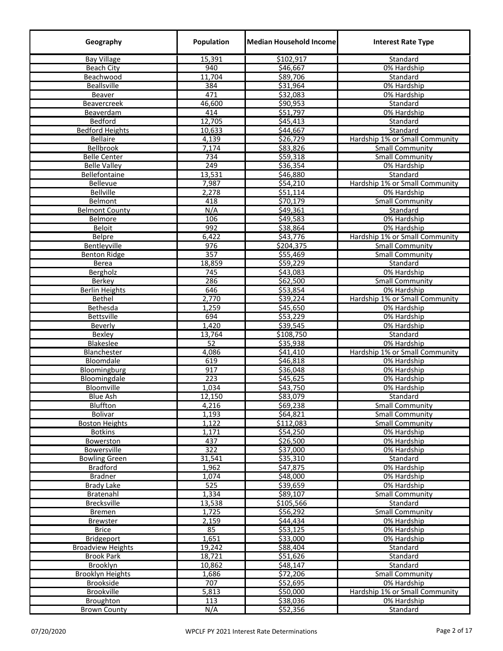| Geography                | Population       | <b>Median Household Income</b> | <b>Interest Rate Type</b>                 |
|--------------------------|------------------|--------------------------------|-------------------------------------------|
| <b>Bay Village</b>       | 15,391           | \$102,917                      | Standard                                  |
| <b>Beach City</b>        | 940              | \$46,667                       | 0% Hardship                               |
| Beachwood                | 11,704           | \$89,706                       | Standard                                  |
| <b>Beallsville</b>       | 384              | \$31,964                       | 0% Hardship                               |
| Beaver                   | 471              | 532,083                        | 0% Hardship                               |
| Beavercreek              | 46,600           | \$90,953                       | Standard                                  |
| Beaverdam                | 414              | \$51,797                       | 0% Hardship                               |
| Bedford                  | 12,705           | \$45,413                       | Standard                                  |
| <b>Bedford Heights</b>   | 10,633           | $\overline{$}44,667$           | Standard                                  |
| <b>Bellaire</b>          | 4,139            | \$26,729                       | Hardship 1% or Small Community            |
| Bellbrook                | 7,174            | \$83,826                       | <b>Small Community</b>                    |
| <b>Belle Center</b>      | 734              | \$59,318                       | <b>Small Community</b>                    |
| <b>Belle Valley</b>      | 249              | \$36,354                       | 0% Hardship                               |
| Bellefontaine            | 13,531           | \$46,880                       | Standard                                  |
| <b>Bellevue</b>          | 7,987            | \$54,210                       | Hardship 1% or Small Community            |
| <b>Bellville</b>         | 2,278            | \$51,114                       | 0% Hardship                               |
| <b>Belmont</b>           | 418              | \$70,179                       | <b>Small Community</b>                    |
| <b>Belmont County</b>    | N/A              | \$49,361                       | Standard                                  |
| Belmore                  | 106              | \$49,583                       | 0% Hardship                               |
| Beloit                   | 992              | \$38,864                       | 0% Hardship                               |
| Belpre                   | 6,422            | \$43,776                       | Hardship 1% or Small Community            |
| Bentleyville             | 976              | \$204,375                      | <b>Small Community</b>                    |
| <b>Benton Ridge</b>      | 357              | \$55,469                       | <b>Small Community</b>                    |
| <b>Berea</b>             | 18,859           | \$59,229                       | Standard                                  |
| Bergholz                 | $\overline{745}$ | \$43,083                       | 0% Hardship                               |
| Berkey                   | 286              | \$62,500                       | <b>Small Community</b>                    |
| <b>Berlin Heights</b>    | 646              | \$53,854                       | 0% Hardship                               |
| Bethel                   | 2,770            | \$39,224                       | Hardship 1% or Small Community            |
| Bethesda                 | 1,259            | \$45,650                       | 0% Hardship                               |
| <b>Bettsville</b>        | 694              | \$53,229                       | 0% Hardship                               |
| Beverly                  | 1,420            | \$39,545                       | 0% Hardship                               |
| <b>Bexley</b>            | 13,764           | \$108,750                      | Standard                                  |
| Blakeslee                | $\overline{52}$  | \$35,938                       | 0% Hardship                               |
| Blanchester              | 4,086            | \$41,410                       | Hardship 1% or Small Community            |
| Bloomdale                | 619              | \$46,818                       | 0% Hardship                               |
| Bloomingburg             | 917              | \$36,048                       | 0% Hardship                               |
| Bloomingdale             | 223              | \$45,625                       | 0% Hardship                               |
| Bloomville               | 1,034            | \$43,750                       | 0% Hardship                               |
| <u>Blue Ash</u>          | 12,150           | \$83,079                       | <b>Standard</b><br><b>Small Community</b> |
| Bluffton<br>Bolivar      | 4,216<br>1,193   | \$69,238<br>564,821            | Small Community                           |
| <b>Boston Heights</b>    | 1,122            | \$112,083                      | <b>Small Community</b>                    |
| <b>Botkins</b>           | 1,171            | \$54,250                       | 0% Hardship                               |
| Bowerston                | 437              | \$26,500                       | 0% Hardship                               |
| Bowersville              | 322              | \$37,000                       | 0% Hardship                               |
| <b>Bowling Green</b>     | 31,541           | \$35,310                       | Standard                                  |
| <b>Bradford</b>          | 1,962            | \$47,875                       | 0% Hardship                               |
| <b>Bradner</b>           | 1,074            | \$48,000                       | 0% Hardship                               |
| Brady Lake               | 525              | \$39,659                       | 0% Hardship                               |
| Bratenahl                | 1,334            | \$89,107                       | <b>Small Community</b>                    |
| Brecksville              | 13,538           | \$105,566                      | Standard                                  |
| Bremen                   | 1,725            | \$56,292                       | <b>Small Community</b>                    |
| <b>Brewster</b>          | 2,159            | \$44,434                       | 0% Hardship                               |
| <b>Brice</b>             | 85               | \$53,125                       | 0% Hardship                               |
| <b>Bridgeport</b>        | 1,651            | \$33,000                       | 0% Hardship                               |
| <b>Broadview Heights</b> | 19,242           | \$88,404                       | Standard                                  |
| <b>Brook Park</b>        | 18,721           | \$51,626                       | Standard                                  |
| Brooklyn                 | 10,862           | \$48,147                       | Standard                                  |
| <b>Brooklyn Heights</b>  | 1,686            | \$72,206                       | <b>Small Community</b>                    |
| <b>Brookside</b>         | 707              | \$52,695                       | 0% Hardship                               |
| Brookville               | 5,813            | \$50,000                       | Hardship 1% or Small Community            |
| Broughton                | 113              | \$38,036                       | 0% Hardship                               |
| <b>Brown County</b>      | N/A              | \$52,356                       | Standard                                  |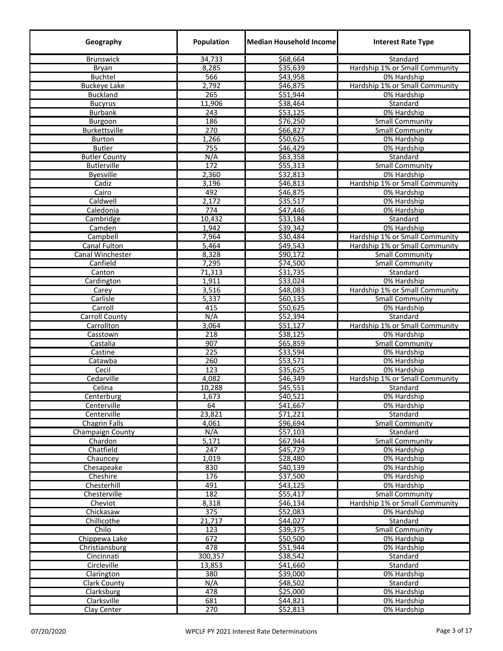| Geography              | Population       | <b>Median Household Income</b> | <b>Interest Rate Type</b>                  |
|------------------------|------------------|--------------------------------|--------------------------------------------|
| <b>Brunswick</b>       | 34,733           | \$68,664                       | Standard                                   |
| Bryan                  | 8,285            | \$35,639                       | Hardship 1% or Small Community             |
| <b>Buchtel</b>         | 566              | \$43,958                       | 0% Hardship                                |
| <b>Buckeye Lake</b>    | 2,792            | \$46,875                       | Hardship 1% or Small Community             |
| <b>Buckland</b>        | 265              | \$51,944                       | 0% Hardship                                |
| <b>Bucyrus</b>         | 11,906           | \$38,464                       | Standard                                   |
| <b>Burbank</b>         | 243              | \$53,125                       | 0% Hardship                                |
| Burgoon                | 186              | \$76,250                       | <b>Small Community</b>                     |
| Burkettsville          | 270              | \$66,827                       | <b>Small Community</b>                     |
| <b>Burton</b>          | 1,266            | \$50,625                       | 0% Hardship                                |
| <b>Butler</b>          | 755              | \$46,429                       | 0% Hardship                                |
| <b>Butler County</b>   | N/A              | \$63,358                       | Standard                                   |
| <b>Butlerville</b>     | 172              | \$55,313                       | <b>Small Community</b>                     |
| <b>Byesville</b>       | 2,360            | \$32,813                       | 0% Hardship                                |
| Cadiz                  | 3,196            | \$46,813                       | Hardship 1% or Small Community             |
| Cairo                  | 492              | \$46,875                       | 0% Hardship                                |
| Caldwell               | 2,172            | \$35,517                       | 0% Hardship                                |
| Caledonia              | $\overline{774}$ | \$47,446                       | 0% Hardship                                |
| Cambridge              | 10,432           | \$33,184                       | Standard                                   |
| Camden                 | 1,942            | \$39,342                       | 0% Hardship                                |
| Campbell               | 7,964            | \$30,484                       | Hardship 1% or Small Community             |
| Canal Fulton           | 5,464            | \$49,543                       | Hardship 1% or Small Community             |
| Canal Winchester       | 8,328            | \$90,172                       | Small Community                            |
| Canfield               | 7,295            | \$74,500                       | <b>Small Community</b>                     |
| Canton                 | 71,313           | \$31,735                       | Standard                                   |
| Cardington             | 1,911            | \$33,024                       | 0% Hardship                                |
| Carey                  | 3,516            | \$48,083                       | Hardship 1% or Small Community             |
| Carlisle               | 5,337            | \$60,135                       | <b>Small Community</b>                     |
| Carroll                | 415              | \$50,625                       | 0% Hardship                                |
| <b>Carroll County</b>  | N/A<br>3,064     | \$52,394                       | Standard<br>Hardship 1% or Small Community |
| Carrollton<br>Casstown | 218              | \$51,127<br>\$38,125           | 0% Hardship                                |
| Castalia               | 907              | \$65,859                       | Small Community                            |
| Castine                | 225              | \$33,594                       | 0% Hardship                                |
| Catawba                | 260              | \$53,571                       | 0% Hardship                                |
| Cecil                  | 123              | \$35,625                       | 0% Hardship                                |
| Cedarville             | 4,082            | \$46,349                       | Hardship 1% or Small Community             |
| Celina                 | 10,288           | \$45,551                       | Standard                                   |
| Centerburg             | 1,673            | \$40,521                       | 0% Hardship                                |
| Centerville            | 64               | \$41,667                       | 0% Hardship                                |
| Centerville            | 23,821           | \$71,221                       | Standard                                   |
| <b>Chagrin Falls</b>   | 4,061            | \$96,694                       | <b>Small Community</b>                     |
| Champaign County       | N/A              | \$57,103                       | Standard                                   |
| Chardon                | 5,171            | \$67,944                       | <b>Small Community</b>                     |
| Chatfield              | $\overline{247}$ | \$45,729                       | 0% Hardship                                |
| Chauncey               | 1,019            | 528,480                        | 0% Hardship                                |
| Chesapeake             | 830              | \$40,139                       | 0% Hardship                                |
| Cheshire               | 176              | \$37,500                       | 0% Hardship                                |
| Chesterhill            | 491              | \$43,125                       | 0% Hardship                                |
| Chesterville           | 182              | \$55,417                       | <b>Small Community</b>                     |
| Cheviot                | 8,318            | \$46,134                       | Hardship 1% or Small Community             |
| Chickasaw              | 375              | \$52,083                       | 0% Hardship                                |
| Chillicothe            | 21,717           | \$44,027                       | Standard                                   |
| Chilo                  | 123              | \$39,375                       | <b>Small Community</b>                     |
| Chippewa Lake          | 672              | \$50,500                       | 0% Hardship                                |
| Christiansburg         | 478              | \$51,944                       | 0% Hardship                                |
| Cincinnati             | 300,357          | \$38,542                       | Standard                                   |
| Circleville            | 13,853           | \$41,660                       | Standard                                   |
| Clarington             | 380              | \$39,000                       | 0% Hardship                                |
| <b>Clark County</b>    | N/A              | \$48,502                       | Standard                                   |
| Clarksburg             | 478              | \$25,000                       | 0% Hardship                                |
| Clarksville            | 681              | \$44,821                       | 0% Hardship                                |
| Clay Center            | 270              | \$52,813                       | 0% Hardship                                |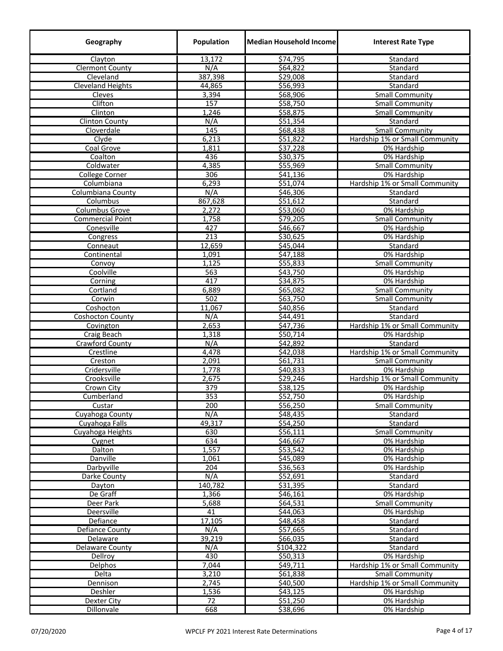| Geography                | Population       | Median Household Income | <b>Interest Rate Type</b>             |
|--------------------------|------------------|-------------------------|---------------------------------------|
| Clayton                  | 13,172           | \$74,795                | Standard                              |
| <b>Clermont County</b>   | N/A              | \$64,822                | Standard                              |
| Cleveland                | 387,398          | \$29,008                | Standard                              |
| <b>Cleveland Heights</b> | 44,865           | \$56,993                | Standard                              |
| Cleves                   | 3,394            | \$68,906                | <b>Small Community</b>                |
| Clifton                  | 157              | 558,750                 | <b>Small Community</b>                |
| Clinton                  | 1,246            | \$58,875                | <b>Small Community</b>                |
| <b>Clinton County</b>    | N/A              | \$51,354                | Standard                              |
| Cloverdale               | 145              | \$68,438                | Small Community                       |
| Clyde                    | 6,213            | \$51,822                | Hardship 1% or Small Community        |
| Coal Grove               | 1,811            | 537,228                 | 0% Hardship                           |
| Coalton                  | 436              | \$30,375                | 0% Hardship                           |
| Coldwater                | 4,385            | \$55,969                | <b>Small Community</b>                |
| <b>College Corner</b>    | 306              | \$41,136                | 0% Hardship                           |
| Columbiana               | 6,293            | \$51,074                | Hardship 1% or Small Community        |
| Columbiana County        | N/A              | \$46,306                | Standard                              |
| Columbus                 | 867,628          | \$51,612                | Standard                              |
| Columbus Grove           | 2,272            | \$53,060                | 0% Hardship                           |
| <b>Commercial Point</b>  | 1,758            | \$79,205                | <b>Small Community</b>                |
| Conesville               | 427              | \$46,667                | 0% Hardship                           |
| Congress                 | 213              | \$30,625                | 0% Hardship                           |
| Conneaut                 | 12,659           | \$45,044                | Standard                              |
| Continental              | 1,091            | \$47,188                | 0% Hardship                           |
| Convoy                   | 1,125            | \$55,833                | <b>Small Community</b>                |
| Coolville                | 563              | \$43,750                | 0% Hardship                           |
| Corning                  | 417              | \$34,875                | 0% Hardship                           |
| Cortland                 | 6,889            | \$65,082                | <b>Small Community</b>                |
| Corwin                   | 502              | \$63,750                | <b>Small Community</b>                |
| Coshocton                | 11,067           | \$40,856                | Standard                              |
| <b>Coshocton County</b>  | N/A              | \$44,491                | Standard                              |
| Covington                | 2,653            | \$47,736                | Hardship 1% or Small Community        |
| Craig Beach              | 1,318            | \$50,714                | 0% Hardship                           |
| Crawford County          | N/A              | \$42,892                | Standard                              |
| Crestline                | 4,478            | \$42,038                | Hardship 1% or Small Community        |
| Creston                  | 2,091            | \$61,731                | <b>Small Community</b>                |
| Cridersville             | 1,778            | \$40,833                | 0% Hardship                           |
| Crooksville              | 2,675            | \$29,246                | Hardship 1% or Small Community        |
| Crown City               | 379              | \$38,125                | 0% Hardship                           |
| Cumberland               | $\overline{353}$ | \$52,750                | 0% Hardship                           |
| Custar                   | 200              | \$56,250                | <b>Small Community</b>                |
| Cuyahoga County          | N/A              | \$48,435                | Standard                              |
| Cuyahoga Falls           | 49,317           | \$54,250                | Standard                              |
| Cuyahoga Heights         | 630              | \$56,111                | <b>Small Community</b>                |
| Cygnet                   | 634              | \$46,667                | 0% Hardship                           |
| Dalton                   | 1,557            | \$53,542                | 0% Hardship                           |
| Danville                 | 1,061            | 545,089                 | 0% Hardship                           |
| Darbyville               | 204              | \$36,563                | 0% Hardship                           |
| Darke County             | N/A              | \$52,691                | Standard                              |
| Dayton                   | 140,782          | \$31,395                | Standard                              |
| De Graff                 | 1,366            | \$46,161                | 0% Hardship                           |
| Deer Park<br>Deersville  | 5,688<br>41      | \$64,531<br>\$44,063    | <b>Small Community</b><br>0% Hardship |
|                          |                  |                         |                                       |
| Defiance                 | 17,105<br>N/A    | \$48,458<br>\$57,665    | Standard                              |
| Defiance County          | 39,219           | \$66,035                | Standard                              |
| Delaware                 | N/A              | \$104,322               | Standard                              |
| Delaware County          | 430              | \$50,313                | Standard<br>0% Hardship               |
| Dellroy<br>Delphos       | 7,044            | \$49,711                | Hardship 1% or Small Community        |
|                          | 3,210            | \$61,838                | <b>Small Community</b>                |
| Delta<br>Dennison        | 2,745            | \$40,500                | Hardship 1% or Small Community        |
| Deshler                  | 1,536            | \$43,125                | 0% Hardship                           |
| <b>Dexter City</b>       | 72               | \$51,250                | 0% Hardship                           |
| Dillonvale               | 668              | \$38,696                | 0% Hardship                           |
|                          |                  |                         |                                       |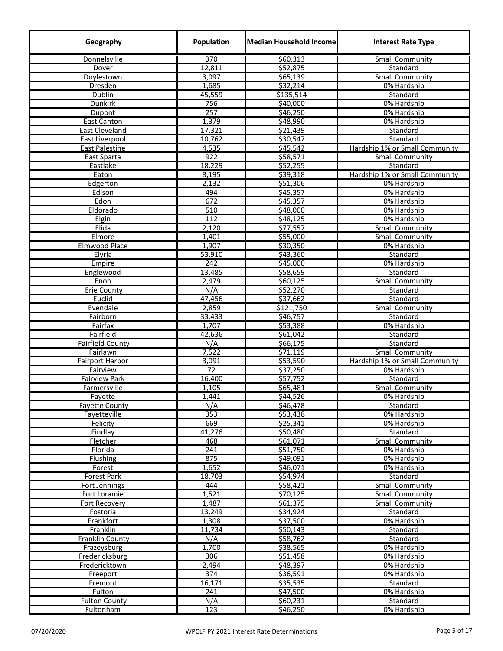| Geography                      | Population       | <b>Median Household Income</b> | <b>Interest Rate Type</b>      |
|--------------------------------|------------------|--------------------------------|--------------------------------|
| Donnelsville                   | $\overline{370}$ | \$60,313                       | <b>Small Community</b>         |
| Dover                          | 12,811           | \$52,875                       | Standard                       |
| Doylestown                     | 3,097            | \$65,139                       | Small Community                |
| Dresden                        | 1,685            | \$32,214                       | 0% Hardship                    |
| Dublin                         | 45,559           | \$135,514                      | Standard                       |
| Dunkirk                        | 756              | \$40,000                       | 0% Hardship                    |
| Dupont                         | 257              | \$46,250                       | 0% Hardship                    |
| <b>East Canton</b>             | 1,379            | \$48,990                       | 0% Hardship                    |
| East Cleveland                 | 17,321           | \$21,439                       | Standard                       |
| East Liverpool                 | 10,762           | \$30,547                       | Standard                       |
| <b>East Palestine</b>          | 4,535            | \$45,542                       | Hardship 1% or Small Community |
| East Sparta                    | 922              | \$58,571                       | <b>Small Community</b>         |
| Eastlake                       | 18,229           | \$52,255                       | Standard                       |
| Eaton                          | 8,195            | \$39,318                       | Hardship 1% or Small Community |
| Edgerton                       | 2,132            | \$51,306                       | 0% Hardship                    |
| Edison                         | 494              | \$45,357                       | 0% Hardship                    |
| Edon                           | 672              | \$45,357                       | 0% Hardship                    |
| Eldorado                       | 510              | \$48,000                       | 0% Hardship                    |
| Elgin                          | 112              | \$48,125                       | 0% Hardship                    |
| Elida                          | 2,120            | \$77,557                       | <b>Small Community</b>         |
| Elmore                         | 1,401            | \$55,000                       | <b>Small Community</b>         |
| <b>Elmwood Place</b>           | 1,907            | \$30,350                       | 0% Hardship                    |
| Elyria                         | 53,910           | \$43,360                       | Standard                       |
| Empire                         | 242              | \$45,000                       | 0% Hardship                    |
| Englewood                      | 13,485           | \$58,659                       | Standard                       |
| Enon                           | 2,479            | \$60,125                       | Small Community                |
| <b>Erie County</b>             | N/A              | \$52,270                       | Standard                       |
| Euclid                         | 47,456           | \$37,662                       | Standard                       |
| Evendale                       | 2,859            | \$121,750                      | <b>Small Community</b>         |
| Fairborn                       | 33,433           | \$46,757                       | Standard                       |
| Fairfax                        | 1,707            | \$53,388                       | 0% Hardship                    |
| Fairfield                      | 42,636           | \$61,042                       | Standard                       |
| <b>Fairfield County</b>        | N/A              | \$66,175                       | Standard                       |
| Fairlawn                       | 7,522            | \$71,119                       | <b>Small Community</b>         |
| Fairport Harbor                | 3,091            | \$53,590                       | Hardship 1% or Small Community |
| Fairview                       | 72               | \$37,250                       | 0% Hardship                    |
| <b>Fairview Park</b>           | 16,400           | \$57,752                       | Standard                       |
| Farmersville                   | 1,105            | \$65,481                       | <b>Small Community</b>         |
| Fayette                        | 1,441            | \$44,526                       | 0% Hardship                    |
| <b>Fayette County</b>          | N/A              | \$46,478                       | Standard                       |
| Fayetteville                   | 353              | \$53,438                       | 0% Hardship                    |
| Felicity                       | 669              | \$25,341                       | 0% Hardship                    |
| Findlay                        | 41,276           | \$50,480                       | Standard                       |
| Fletcher                       | 468              | \$61,071                       | <b>Small Community</b>         |
| Florida                        | 241              | \$51,750                       | 0% Hardship                    |
| Flushing                       | 875              | \$49,091                       | 0% Hardship                    |
| Forest                         | 1,652            | \$46,071                       | 0% Hardship                    |
| Forest Park                    | 18,703           | 554,974                        | Standard                       |
| Fort Jennings                  | 444              | \$58,421                       | <b>Small Community</b>         |
| Fort Loramie                   | 1,521            | \$70,125                       | <b>Small Community</b>         |
| Fort Recovery                  | 1,487            | \$61,375                       | <b>Small Community</b>         |
| Fostoria                       | 13,249           | \$34,924                       | Standard                       |
| Frankfort                      | 1,308            | \$37,500                       | 0% Hardship                    |
| Franklin                       | 11,734           | \$50,143                       | Standard                       |
| <b>Franklin County</b>         | N/A              | \$58,762                       | Standard                       |
| Frazeysburg                    | 1,700            | \$38,565                       | 0% Hardship                    |
| Fredericksburg                 | 306              | \$51,458                       | 0% Hardship                    |
| Fredericktown                  | 2,494            | \$48,397                       | 0% Hardship                    |
| Freeport                       | 374              | \$36,591                       | 0% Hardship                    |
| Fremont                        | 16,171<br>241    | \$35,535<br>\$47,500           | Standard<br>0% Hardship        |
| Fulton<br><b>Fulton County</b> | N/A              | \$60,231                       | Standard                       |
| Fultonham                      | 123              | \$46,250                       | 0% Hardship                    |
|                                |                  |                                |                                |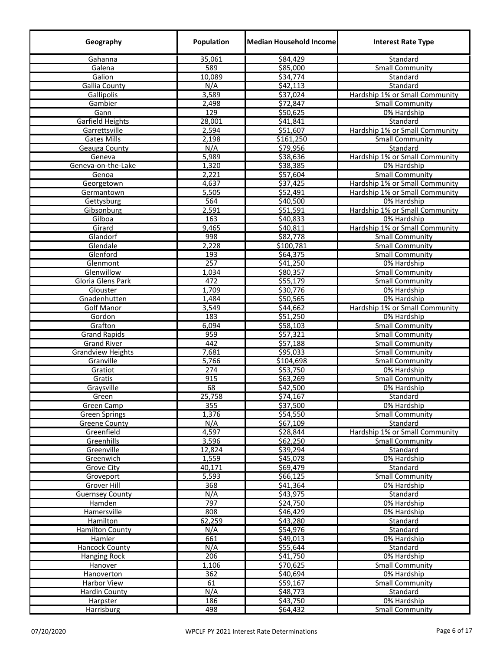| Geography                                 | Population   | <b>Median Household Income</b> | <b>Interest Rate Type</b>                        |
|-------------------------------------------|--------------|--------------------------------|--------------------------------------------------|
| Gahanna                                   | 35,061       | \$84,429                       | Standard                                         |
| Galena                                    | 589          | \$85,000                       | <b>Small Community</b>                           |
| Galion                                    | 10,089       | \$34,774                       | Standard                                         |
| <b>Gallia County</b>                      | N/A          | \$42,113                       | Standard                                         |
| Gallipolis                                | 3,589        | \$37,024                       | Hardship 1% or Small Community                   |
| Gambier                                   | 2,498        | \$72,847                       | <b>Small Community</b>                           |
| Gann                                      | 129          | \$50,625                       | 0% Hardship                                      |
| <b>Garfield Heights</b>                   | 28,001       | \$41,841                       | Standard                                         |
| Garrettsville                             | 2,594        | \$51,607                       | Hardship 1% or Small Community                   |
| <b>Gates Mills</b>                        | 2,198        | \$161,250                      | <b>Small Community</b>                           |
| <b>Geauga County</b>                      | N/A          | \$79,956                       | Standard                                         |
| Geneva                                    | 5,989        | \$38,636                       | Hardship 1% or Small Community                   |
| Geneva-on-the-Lake                        | 1,320        | \$38,385                       | 0% Hardship                                      |
| Genoa                                     | 2,221        | \$57,604                       | <b>Small Community</b>                           |
| Georgetown                                | 4,637        | \$37,425                       | Hardship 1% or Small Community                   |
| Germantown                                | 5,505        | \$52,491                       | Hardship 1% or Small Community                   |
| Gettysburg                                | 564          | \$40,500                       | 0% Hardship                                      |
| Gibsonburg                                | 2,591        | \$51,591                       | Hardship 1% or Small Community                   |
| Gilboa                                    | 163          | \$40,833                       | 0% Hardship                                      |
| Girard                                    | 9,465        | \$40,811                       | Hardship 1% or Small Community                   |
| Glandorf                                  | 998          | \$82,778                       | <b>Small Community</b>                           |
| Glendale                                  | 2,228        | \$100,781                      | <b>Small Community</b>                           |
| Glenford                                  | 193          | \$64,375                       | Small Community                                  |
| Glenmont                                  | 257          | \$41,250                       | 0% Hardship                                      |
| Glenwillow                                | 1,034        | \$80,357                       | <b>Small Community</b>                           |
| Gloria Glens Park                         | 472          | \$55,179                       | <b>Small Community</b>                           |
| Glouster                                  | 1,709        | \$30,776                       | 0% Hardship                                      |
| Gnadenhutten                              | 1,484        | \$50,565                       | 0% Hardship                                      |
| <b>Golf Manor</b>                         | 3,549        | \$44,662                       | Hardship 1% or Small Community                   |
| Gordon                                    | 183          | \$51,250                       | 0% Hardship                                      |
| Grafton                                   | 6,094<br>959 | \$58,103<br>\$57,321           | <b>Small Community</b>                           |
| <b>Grand Rapids</b><br><b>Grand River</b> | 442          | \$57,188                       | <b>Small Community</b>                           |
| <b>Grandview Heights</b>                  | 7,681        | \$95,033                       | <b>Small Community</b><br><b>Small Community</b> |
| Granville                                 | 5,766        | \$104,698                      | <b>Small Community</b>                           |
| Gratiot                                   | 274          | \$53,750                       | 0% Hardship                                      |
| Gratis                                    | 915          | \$63,269                       | <b>Small Community</b>                           |
| Graysville                                | 68           | \$42,500                       | 0% Hardship                                      |
| Green                                     | 25,758       | \$74,167                       | Standard                                         |
| Green Camp                                | 355          | \$37,500                       | 0% Hardship                                      |
| <b>Green Springs</b>                      | 1,376        | \$54,550                       | <b>Small Community</b>                           |
| <b>Greene County</b>                      | N/A          | \$67,109                       | Standard                                         |
| Greenfield                                | 4,597        | \$28,844                       | Hardship 1% or Small Community                   |
| Greenhills                                | 3,596        | \$62,250                       | <b>Small Community</b>                           |
| Greenville                                | 12,824       | \$39,294                       | <b>Standard</b>                                  |
| Greenwich                                 | 1,559        | \$45,078                       | 0% Hardship                                      |
| <b>Grove City</b>                         | 40,171       | \$69,479                       | Standard                                         |
| Groveport                                 | 5,593        | \$66,125                       | <b>Small Community</b>                           |
| Grover Hill                               | 368          | \$41,364                       | 0% Hardship                                      |
| <b>Guernsey County</b>                    | N/A          | \$43,975                       | Standard                                         |
| Hamden                                    | 797          | \$24,750                       | 0% Hardship                                      |
| Hamersville                               | 808          | \$46,429                       | 0% Hardship                                      |
| Hamilton                                  | 62,259       | \$43,280                       | Standard                                         |
| <b>Hamilton County</b>                    | N/A          | \$54,976                       | Standard                                         |
| Hamler                                    | 661          | \$49,013                       | 0% Hardship                                      |
| Hancock County                            | N/A          | \$55,644                       | Standard                                         |
| Hanging Rock                              | 206          | \$41,750                       | 0% Hardship                                      |
| Hanover                                   | 1,106        | \$70,625                       | <b>Small Community</b>                           |
| Hanoverton                                | 362          | \$40,694                       | 0% Hardship                                      |
| Harbor View                               | 61           | \$59,167                       | <b>Small Community</b>                           |
| <b>Hardin County</b>                      | N/A          | \$48,773                       | Standard                                         |
| <b>Harpster</b>                           | 186          | \$43,750                       | 0% Hardship                                      |
| <b>Harrisburg</b>                         | 498          | \$64,432                       | <b>Small Community</b>                           |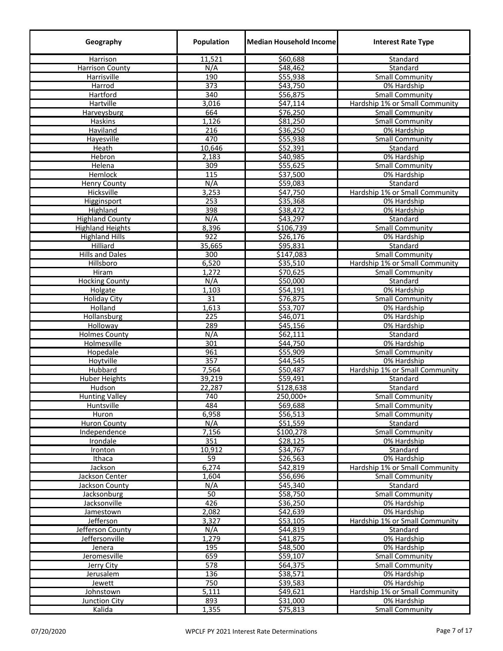| Geography               | Population      | Median Household Income | <b>Interest Rate Type</b>      |
|-------------------------|-----------------|-------------------------|--------------------------------|
| Harrison                | 11,521          | \$60,688                | Standard                       |
| <b>Harrison County</b>  | N/A             | \$48,462                | Standard                       |
| Harrisville             | 190             | \$55,938                | <b>Small Community</b>         |
| Harrod                  | 373             | \$43,750                | 0% Hardship                    |
| Hartford                | 340             | \$56,875                | <b>Small Community</b>         |
| Hartville               | 3,016           | \$47,114                | Hardship 1% or Small Community |
| Harveysburg             | 664             | \$76,250                | <b>Small Community</b>         |
| Haskins                 | 1,126           | \$81,250                | Small Community                |
| Haviland                | 216             | \$36,250                | 0% Hardship                    |
| Hayesville              | 470             | \$55,938                | <b>Small Community</b>         |
| Heath                   | 10,646          | 552,391                 | Standard                       |
| <b>Hebron</b>           | 2,183           | \$40,985                | 0% Hardship                    |
| Helena                  | 309             | \$55,625                | <b>Small Community</b>         |
| Hemlock                 | 115             | \$37,500                | 0% Hardship                    |
| <b>Henry County</b>     | N/A             | \$59,083                | Standard                       |
| Hicksville              | 3,253           | \$47,750                | Hardship 1% or Small Community |
| <b>Higginsport</b>      | 253             | \$35,368                | 0% Hardship                    |
| Highland                | 398             | \$38,472                | 0% Hardship                    |
| <b>Highland County</b>  | N/A             | \$43,297                | Standard                       |
| <b>Highland Heights</b> | 8,396           | \$106,739               | <b>Small Community</b>         |
| <b>Highland Hills</b>   | 922             | \$26,176                | 0% Hardship                    |
| Hilliard                | 35,665          | \$95,831                | Standard                       |
| <b>Hills and Dales</b>  | 300             | \$147,083               | <b>Small Community</b>         |
| Hillsboro               | 6,520           | \$35,510                | Hardship 1% or Small Community |
| Hiram                   | 1,272           | \$70,625                | <b>Small Community</b>         |
| <b>Hocking County</b>   | N/A             | \$50,000                | Standard                       |
| Holgate                 | 1,103           | \$54,191                | 0% Hardship                    |
| <b>Holiday City</b>     | $\overline{31}$ | \$76,875                | Small Community                |
| Holland                 | 1,613           | \$53,707                | 0% Hardship                    |
| Hollansburg             | 225             | \$46,071                | 0% Hardship                    |
| Holloway                | 289             | 545,156                 | 0% Hardship                    |
| <b>Holmes County</b>    | N/A             | \$62,111                | Standard                       |
| Holmesville             | 301             | \$44,750                | 0% Hardship                    |
| Hopedale                | 961             | \$55,909                | <b>Small Community</b>         |
| Hoytville               | 357             | \$44,545                | 0% Hardship                    |
| Hubbard                 | 7,564           | 550,487                 | Hardship 1% or Small Community |
| <b>Huber Heights</b>    | 39,219          | \$59,491                | Standard                       |
| Hudson                  | 22,287          | \$128,638               | Standard                       |
| <b>Hunting Valley</b>   | 740             | 250,000+                | <b>Small Community</b>         |
| Huntsville              | 484             | \$69,688                | <b>Small Community</b>         |
| Huron                   | 6,958           | \$56,513                | <b>Small Community</b>         |
| <b>Huron County</b>     | N/A             | \$51,559                | Standard                       |
| Independence            | 7,156           | \$100,278               | <b>Small Community</b>         |
| Irondale                | 351             | \$28,125                | 0% Hardship                    |
| Ironton                 | 10,912          | \$34,767                | Standard                       |
| Ithaca                  | 59              | \$26,563                | 0% Hardship                    |
| Jackson                 | 6,274           | \$42,819                | Hardship 1% or Small Community |
| Jackson Center          | 1,604           | \$56,696                | <b>Small Community</b>         |
| Jackson County          | N/A             | \$45,340                | Standard                       |
| Jacksonburg             | 50              | \$58,750                | <b>Small Community</b>         |
| Jacksonville            | 426             | \$36,250                | 0% Hardship                    |
| Jamestown               | 2,082           | \$42,639                | 0% Hardship                    |
| Jefferson               | 3,327           | \$53,105                | Hardship 1% or Small Community |
| Jefferson County        | N/A             | \$44,819                | Standard                       |
| Jeffersonville          | 1,279           | \$41,875                | 0% Hardship                    |
| Jenera                  | 195             | \$48,500                | 0% Hardship                    |
| Jeromesville            | 659             | \$59,107                | <b>Small Community</b>         |
| Jerry City              | 578             | \$64,375                | <b>Small Community</b>         |
| Jerusalem               | 136             | \$38,571                | 0% Hardship                    |
| Jewett                  | 750             | \$39,583                | 0% Hardship                    |
| Johnstown               | 5,111           | \$49,621                | Hardship 1% or Small Community |
| <b>Junction City</b>    | 893             | \$31,000                | 0% Hardship                    |
| Kalida                  | 1,355           | \$75,813                | <b>Small Community</b>         |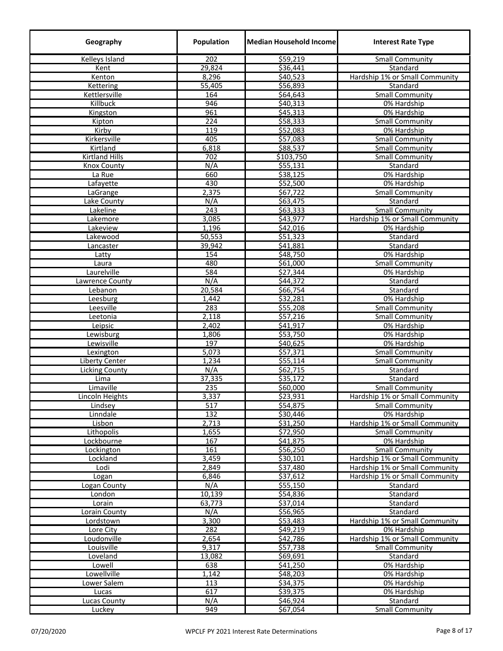| Geography               | Population       | <b>Median Household Income</b> | <b>Interest Rate Type</b>      |
|-------------------------|------------------|--------------------------------|--------------------------------|
| Kelleys Island          | 202              | \$59,219                       | <b>Small Community</b>         |
| Kent                    | 29,824           | \$36,441                       | Standard                       |
| Kenton                  | 8,296            | \$40,523                       | Hardship 1% or Small Community |
| Kettering               | 55,405           | \$56,893                       | Standard                       |
| Kettlersville           | 164              | \$64,643                       | <b>Small Community</b>         |
| Killbuck                | 946              | \$40,313                       | 0% Hardship                    |
| Kingston                | 961              | \$45,313                       | 0% Hardship                    |
| Kipton                  | 224              | \$58,333                       | <b>Small Community</b>         |
| Kirby                   | 119              | \$52,083                       | 0% Hardship                    |
| Kirkersville            | 405              | \$57,083                       | <b>Small Community</b>         |
| Kirtland                | 6,818            | \$88,537                       | <b>Small Community</b>         |
| <b>Kirtland Hills</b>   | 702              | \$103,750                      | <b>Small Community</b>         |
| <b>Knox County</b>      | N/A              | \$55,131                       | Standard                       |
| La Rue                  | 660              | \$38,125                       | 0% Hardship                    |
| Lafayette               | 430              | \$52,500                       | 0% Hardship                    |
| LaGrange                | 2,375            | \$67,722                       | <b>Small Community</b>         |
| Lake County             | N/A              | \$63,475                       | Standard                       |
| Lakeline                | 243              | \$63,333                       | <b>Small Community</b>         |
| Lakemore                | 3,085            | \$43,977                       | Hardship 1% or Small Community |
| Lakeview                | 1,196            | \$42,016<br>\$51,323           | 0% Hardship<br>Standard        |
| Lakewood<br>Lancaster   | 50,553<br>39,942 | \$41,881                       | Standard                       |
| Latty                   | 154              | \$48,750                       | 0% Hardship                    |
| Laura                   | 480              | \$61,000                       | <b>Small Community</b>         |
| Laurelville             | 584              | \$27,344                       | 0% Hardship                    |
| Lawrence County         | N/A              | \$44,372                       | Standard                       |
| Lebanon                 | 20,584           | \$66,754                       | Standard                       |
| Leesburg                | 1,442            | \$32,281                       | 0% Hardship                    |
| Leesville               | 283              | \$55,208                       | <b>Small Community</b>         |
| Leetonia                | 2,118            | \$57,216                       | <b>Small Community</b>         |
| Leipsic                 | 2,402            | \$41,917                       | 0% Hardship                    |
| Lewisburg               | 1,806            | \$53,750                       | 0% Hardship                    |
| Lewisville              | 197              | \$40,625                       | 0% Hardship                    |
| Lexington               | 5,073            | \$57,371                       | <b>Small Community</b>         |
| Liberty Center          | 1,234            | \$55,114                       | <b>Small Community</b>         |
| Licking County          | N/A              | \$62,715                       | Standard                       |
| Lima                    | 37,335           | \$35,172                       | Standard                       |
| Limaville               | 235              | \$60,000                       | <b>Small Community</b>         |
| Lincoln Heights         | 3,337            | \$23,931                       | Hardship 1% or Small Community |
| Lindsey                 | 517              | \$54,875                       | <b>Small Community</b>         |
| Linndale                | 132              | \$30,446                       | 0% Hardship                    |
| Lisbon                  | 2,713            | \$31,250                       | Hardship 1% or Small Community |
| Lithopolis              | 1,655            | \$72,950                       | <b>Small Community</b>         |
| Lockbourne              | 167              | \$41,875                       | 0% Hardship                    |
| Lockington              | 161              | \$56,250                       | <b>Small Community</b>         |
| Lockland                | 3,459            | \$30,101                       | Hardship 1% or Small Community |
| Lodi                    | 2,849            | \$37,480                       | Hardship 1% or Small Community |
| Logan                   | 6,846            | \$37,612                       | Hardship 1% or Small Community |
| Logan County            | N/A              | \$55,150                       | Standard                       |
| London                  | 10,139           | \$54,836                       | Standard                       |
| Lorain<br>Lorain County | 63,773<br>N/A    | \$37,014<br>\$56,965           | Standard<br>Standard           |
| Lordstown               | 3,300            | \$53,483                       | Hardship 1% or Small Community |
| Lore City               | 282              | \$49,219                       | 0% Hardship                    |
| Loudonville             | 2,654            | \$42,786                       | Hardship 1% or Small Community |
| Louisville              | 9,317            | \$57,738                       | <b>Small Community</b>         |
| Loveland                | 13,082           | \$69,691                       | Standard                       |
| Lowell                  | 638              | \$41,250                       | 0% Hardship                    |
| Lowellville             | 1,142            | \$48,203                       | 0% Hardship                    |
| Lower Salem             | 113              | \$34,375                       | 0% Hardship                    |
| Lucas                   | 617              | \$39,375                       | 0% Hardship                    |
| <b>Lucas County</b>     | N/A              | \$46,924                       | Standard                       |
| Luckey                  | 949              | \$67,054                       | <b>Small Community</b>         |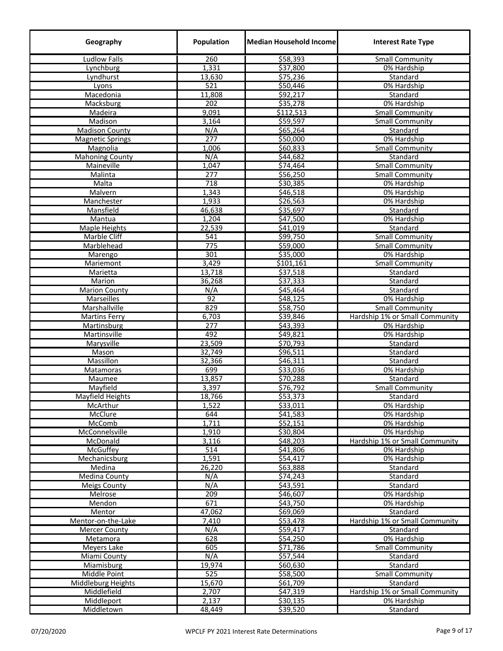| Geography               | Population       | Median Household Income | <b>Interest Rate Type</b>      |
|-------------------------|------------------|-------------------------|--------------------------------|
| <b>Ludlow Falls</b>     | 260              | \$58,393                | <b>Small Community</b>         |
| Lynchburg               | 1,331            | \$37,800                | 0% Hardship                    |
| Lyndhurst               | 13,630           | \$75,236                | Standard                       |
| Lyons                   | 521              | \$50,446                | 0% Hardship                    |
| Macedonia               | 11,808           | \$92,217                | Standard                       |
| Macksburg               | 202              | \$35,278                | 0% Hardship                    |
| Madeira                 | 9,091            | \$112,513               | <b>Small Community</b>         |
| Madison                 | 3,164            | 559,597                 | Small Community                |
| <b>Madison County</b>   | N/A              | \$65,264                | Standard                       |
| <b>Magnetic Springs</b> | 277              | \$50,000                | 0% Hardship                    |
| Magnolia                | 1,006            | \$60,833                | <b>Small Community</b>         |
| <b>Mahoning County</b>  | N/A              | \$44,682                | Standard                       |
| Maineville              | 1,047            | \$74,464                | Small Community                |
| Malinta                 | 277              | \$56,250                | <b>Small Community</b>         |
| Malta                   | 718              | \$30,385                | 0% Hardship                    |
| Malvern                 | 1,343            | \$46,518                | 0% Hardship                    |
| Manchester              | 1,933            | \$26,563                | 0% Hardship                    |
| Mansfield               | 46,638           | \$35,697                | Standard                       |
| Mantua                  | 1,204            | \$47,500                | 0% Hardship                    |
| Maple Heights           | 22,539           | \$41,019                | Standard                       |
| Marble Cliff            | $\overline{541}$ | \$99,750                | Small Community                |
| Marblehead              | 775              | \$59,000                | <b>Small Community</b>         |
| Marengo                 | 301              | \$35,000                | 0% Hardship                    |
| Mariemont               | 3,429            | \$101,161               | <b>Small Community</b>         |
|                         | 13,718           | \$37,518                |                                |
| Marietta                |                  | \$37,333                | Standard                       |
| Marion                  | 36,268<br>N/A    | \$45,464                | Standard<br>Standard           |
| <b>Marion County</b>    | 92               | 548,125                 |                                |
| <b>Marseilles</b>       |                  |                         | 0% Hardship                    |
| Marshallville           | 829              | \$58,750                | <b>Small Community</b>         |
| <b>Martins Ferry</b>    | 6,703            | \$39,846                | Hardship 1% or Small Community |
| Martinsburg             | $\overline{277}$ | 543,393                 | 0% Hardship                    |
| Martinsville            | 492              | \$49,821                | 0% Hardship                    |
| Marysville              | 23,509           | \$70,793                | Standard                       |
| Mason                   | 32,749           | \$96,511                | Standard                       |
| Massillon               | 32,366           | \$46,311                | Standard                       |
| Matamoras               | 699              | 533,036                 | 0% Hardship                    |
| Maumee                  | 13,857           | \$70,288                | Standard                       |
| Mayfield                | 3,397            | \$76,792                | Small Community                |
| Mayfield Heights        | 18,766           | \$53,373                | Standard                       |
| McArthur                | 1,522            | \$33,011                | 0% Hardship                    |
| McClure                 | 644              | \$41,583                | 0% Hardship                    |
| <b>McComb</b>           | 1,711            | \$52,151                | 0% Hardship                    |
| McConnelsville          | 1,910            | \$30,804                | 0% Hardship                    |
| McDonald                | 3,116            | \$48,203                | Hardship 1% or Small Community |
| <b>McGuffey</b>         | 514              | \$41,806                | 0% Hardship                    |
| Mechanicsburg           | 1,591            | 554,417                 | 0% Hardship                    |
| Medina                  | 26,220           | \$63,888                | Standard                       |
| Medina County           | N/A              | \$74,243                | Standard                       |
| Meigs County            | N/A              | \$43,591                | Standard                       |
| Melrose                 | 209              | \$46,607                | 0% Hardship                    |
| Mendon                  | 671              | 543,750                 | 0% Hardship                    |
| Mentor                  | 47,062           | \$69,069                | Standard                       |
| Mentor-on-the-Lake      | 7,410            | 553,478                 | Hardship 1% or Small Community |
| <b>Mercer County</b>    | N/A              | \$59,417                | Standard                       |
| Metamora                | 628              | \$54,250                | 0% Hardship                    |
| Meyers Lake             | 605              | \$71,786                | <b>Small Community</b>         |
| Miami County            | N/A              | \$57,544                | Standard                       |
| Miamisburg              | 19,974           | \$60,630                | Standard                       |
| Middle Point            | 525              | \$58,500                | <b>Small Community</b>         |
| Middleburg Heights      | 15,670           | \$61,709                | Standard                       |
| Middlefield             | 2,707            | \$47,319                | Hardship 1% or Small Community |
| Middleport              | 2,137            | \$30,135                | 0% Hardship                    |
| Middletown              | 48,449           | \$39,520                | Standard                       |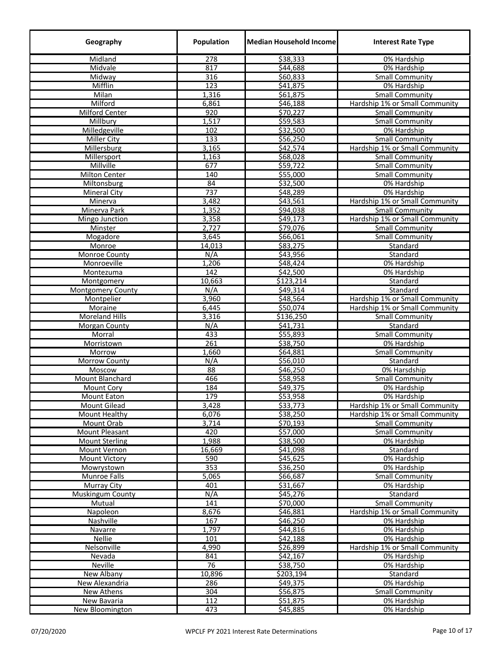| Geography                | Population       | <b>Median Household Incomel</b> | <b>Interest Rate Type</b>                     |
|--------------------------|------------------|---------------------------------|-----------------------------------------------|
| Midland                  | $\overline{278}$ | \$38,333                        | 0% Hardship                                   |
| Midvale                  | 817              | \$44,688                        | 0% Hardship                                   |
| Midway                   | 316              | \$60,833                        | <b>Small Community</b>                        |
| Mifflin                  | 123              | \$41,875                        | 0% Hardship                                   |
| Milan                    | 1,316            | \$61,875                        | <b>Small Community</b>                        |
| Milford                  | 6,861            | \$46,188                        | Hardship 1% or Small Community                |
| <b>Milford Center</b>    | 920              | \$70,227                        | <b>Small Community</b>                        |
| Millbury                 | 1,517            | 559,583                         | Small Community                               |
| Milledgeville            | 102              | \$32,500                        | 0% Hardship                                   |
| <b>Miller City</b>       | 133              | \$56,250                        | <b>Small Community</b>                        |
| Millersburg              | 3,165            | \$42,574                        | Hardship 1% or Small Community                |
| Millersport              | 1,163            | \$68,028                        | <b>Small Community</b>                        |
| Millville                | 677              | \$59,722                        | <b>Small Community</b>                        |
| <b>Milton Center</b>     | 140              | \$55,000                        | <b>Small Community</b>                        |
| Miltonsburg              | 84               | \$32,500                        | 0% Hardship                                   |
| <b>Mineral City</b>      | 737              | \$48,289                        | 0% Hardship                                   |
| Minerva                  | 3,482            | \$43,561                        | Hardship 1% or Small Community                |
| Minerva Park             | 1,352            | \$94,038                        | <b>Small Community</b>                        |
| Mingo Junction           | 3,358            | \$49,173                        | Hardship 1% or Small Community                |
| Minster                  | 2,727            | \$79,076                        | <b>Small Community</b>                        |
| Mogadore                 | 3,645            | \$66,061                        | <b>Small Community</b>                        |
| Monroe                   | 14,013           | \$83,275                        | Standard                                      |
| Monroe County            | N/A              | \$43,956                        | Standard                                      |
| Monroeville              | 1,206            | \$48,424                        | 0% Hardship                                   |
| Montezuma                | 142              | \$42,500                        | 0% Hardship                                   |
| Montgomery               | 10,663           | \$123,214                       | Standard                                      |
| <b>Montgomery County</b> | N/A              | \$49,314                        | Standard                                      |
| Montpelier               | 3,960            | \$48,564                        | Hardship 1% or Small Community                |
| Moraine                  | 6,445            | \$50,074                        | Hardship 1% or Small Community                |
| Moreland Hills           | 3,316            | \$136,250                       | <b>Small Community</b>                        |
| Morgan County            | N/A              | \$41,731                        | Standard                                      |
| Morral                   | 433              | \$55,893                        | <b>Small Community</b>                        |
| Morristown               | 261              | \$38,750                        | 0% Hardship                                   |
| Morrow                   | 1,660            | \$64,881                        | <b>Small Community</b>                        |
| Morrow County            | N/A              | \$56,010                        | Standard                                      |
| Moscow                   | 88               | \$46,250                        | 0% Harsdship                                  |
| <b>Mount Blanchard</b>   | 466              | \$58,958                        | <b>Small Community</b>                        |
| Mount Cory               | 184              | \$49,375                        | 0% Hardship                                   |
| Mount Eaton              | 179              | \$53,958                        | 0% Hardship                                   |
| <b>Mount Gilead</b>      | 3,428            | \$33,773                        | Hardship 1% or Small Community                |
| Mount Healthy            | 6,076            | \$38,250                        | Hardship 1% or Small Community                |
| Mount Orab               | 3,714            | \$70,193                        | <b>Small Community</b>                        |
| Mount Pleasant           | 420              | \$57,000                        | <b>Small Community</b>                        |
| <b>Mount Sterling</b>    | 1,988            | \$38,500                        | 0% Hardship                                   |
| Mount Vernon             | 16,669           | \$41,098                        | Standard                                      |
| <b>Mount Victory</b>     | 590              | \$45,625                        | 0% Hardship                                   |
| Mowrystown               | 353              | \$36,250                        | 0% Hardship                                   |
| Munroe Falls             | 5,065            | \$66,687                        | <b>Small Community</b>                        |
| <b>Murray City</b>       | 401              | \$31,667                        | 0% Hardship                                   |
| Muskingum County         | N/A              | \$45,276                        | Standard                                      |
| Mutual                   | 141              | \$70,000                        | <b>Small Community</b>                        |
| Napoleon                 | 8,676            | \$46,881                        | Hardship 1% or Small Community                |
| Nashville                | 167              | \$46,250                        | 0% Hardship                                   |
| Navarre                  | 1,797            | \$44,816                        | 0% Hardship                                   |
| Nellie                   | 101              | \$42,188                        |                                               |
| Nelsonville              | 4,990            | \$26,899                        | 0% Hardship<br>Hardship 1% or Small Community |
|                          | 841              | \$42,167                        |                                               |
| Nevada<br>Neville        | 76               | \$38,750                        | 0% Hardship                                   |
|                          |                  |                                 | 0% Hardship                                   |
| New Albany               | 10,896           | \$203,194                       | Standard                                      |
| New Alexandria           | 286              | \$49,375                        | 0% Hardship                                   |
| New Athens               | 304<br>112       | \$56,875<br>\$51,875            | Small Community                               |
| New Bavaria              |                  |                                 | 0% Hardship                                   |
| New Bloomington          | 473              | \$45,885                        | 0% Hardship                                   |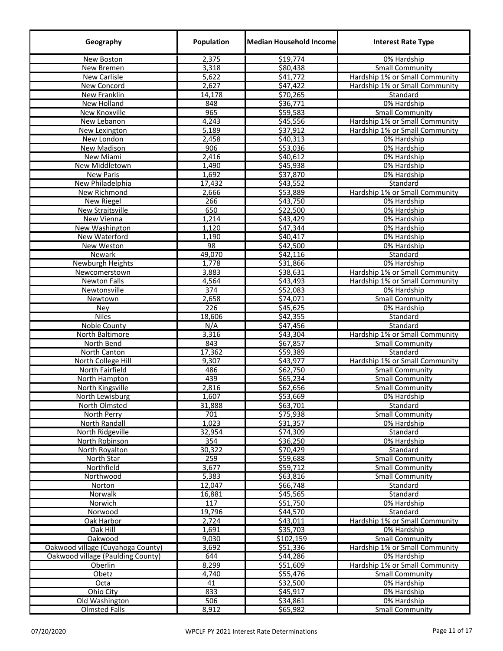| Geography                         | Population    | <b>Median Household Income</b> | <b>Interest Rate Type</b>             |
|-----------------------------------|---------------|--------------------------------|---------------------------------------|
| <b>New Boston</b>                 | 2,375         | 519,774                        | 0% Hardship                           |
| New Bremen                        | 3,318         | \$80,438                       | <b>Small Community</b>                |
| <b>New Carlisle</b>               | 5,622         | \$41,772                       | Hardship 1% or Small Community        |
| New Concord                       | 2,627         | \$47,422                       | Hardship 1% or Small Community        |
| New Franklin                      | 14,178        | \$70,265                       | Standard                              |
| New Holland                       | 848           | 536,771                        | 0% Hardship                           |
| <b>New Knoxville</b>              | 965           | \$59,583                       | <b>Small Community</b>                |
| New Lebanon                       | 4,243         | \$45,556                       | Hardship 1% or Small Community        |
| New Lexington                     | 5,189         | \$37,912                       | Hardship 1% or Small Community        |
| New London                        | 2,458         | \$40,313                       | 0% Hardship                           |
| <b>New Madison</b>                | 906           | 553,036                        | 0% Hardship                           |
| New Miami                         | 2,416         | \$40,612                       | 0% Hardship                           |
| <b>New Middletown</b>             | 1,490         | \$45,938                       | 0% Hardship                           |
| <b>New Paris</b>                  | 1,692         | \$37,870                       | 0% Hardship                           |
| New Philadelphia                  | 17,432        | \$43,552                       | Standard                              |
| New Richmond                      | 2,666         | \$53,889                       | Hardship 1% or Small Community        |
| New Riegel                        | 266           | \$43,750                       | 0% Hardship                           |
| New Straitsville                  | 650           | \$22,500                       | 0% Hardship                           |
| New Vienna                        | 1,214         | \$43,429                       | 0% Hardship                           |
| New Washington                    | 1,120         | \$47,344                       | 0% Hardship                           |
| New Waterford                     | 1,190         | \$40,417                       | 0% Hardship                           |
| New Weston                        | 98            | \$42,500                       | 0% Hardship                           |
| <b>Newark</b>                     | 49,070        | \$42,116                       | Standard                              |
| <b>Newburgh Heights</b>           | 1,778         | \$31,866                       | 0% Hardship                           |
| Newcomerstown                     | 3,883         | \$38,631                       | Hardship 1% or Small Community        |
| <b>Newton Falls</b>               | 4,564         | \$43,493                       | Hardship 1% or Small Community        |
| Newtonsville                      | 374           | \$52,083                       | 0% Hardship                           |
| Newtown                           | 2,658         | \$74,071                       | <b>Small Community</b>                |
| Ney                               | 226           | \$45,625                       | 0% Hardship                           |
| <b>Niles</b>                      | 18,606        | \$42,355                       | Standard                              |
| Noble County                      | N/A           | \$47,456                       | Standard                              |
| North Baltimore                   | 3,316         | \$43,304                       | Hardship 1% or Small Community        |
| North Bend                        | 843           | 567,857                        | <b>Small Community</b>                |
| North Canton                      | 17,362        | \$59,389                       | Standard                              |
| North College Hill                | 9,307         | \$43,977                       | Hardship 1% or Small Community        |
| North Fairfield                   | 486           | \$62,750                       | <b>Small Community</b>                |
| North Hampton                     | 439           | \$65,234                       | <b>Small Community</b>                |
| North Kingsville                  | 2,816         | \$62,656<br>\$53,669           | Small Community                       |
| North Lewisburg                   | 1,607         |                                | 0% Hardship                           |
| North Olmsted                     | 31,888<br>701 | \$63,701<br>\$75,938           | Standard                              |
| North Perry<br>North Randall      | 1,023         | \$31,357                       | <b>Small Community</b><br>0% Hardship |
| North Ridgeville                  | 32,954        | \$74,309                       | Standard                              |
| North Robinson                    | 354           | \$36,250                       | 0% Hardship                           |
| North Royalton                    | 30,322        | \$70,429                       | Standard                              |
| North Star                        | 259           | \$59,688                       | <b>Small Community</b>                |
| Northfield                        | 3,677         | \$59,712                       | <b>Small Community</b>                |
| Northwood                         | 5,383         | \$63,816                       | <b>Small Community</b>                |
| Norton                            | 12,047        | \$66,748                       | Standard                              |
| Norwalk                           | 16,881        | \$45,565                       | Standard                              |
| Norwich                           | 117           | \$51,750                       | 0% Hardship                           |
| Norwood                           | 19,796        | \$44,570                       | Standard                              |
| Oak Harbor                        | 2,724         | \$43,011                       | Hardship 1% or Small Community        |
| Oak Hill                          | 1,691         | \$35,703                       | 0% Hardship                           |
| Oakwood                           | 9,030         | \$102,159                      | <b>Small Community</b>                |
| Oakwood village (Cuyahoga County) | 3,692         | \$51,336                       | Hardship 1% or Small Community        |
| Oakwood village (Paulding County) | 644           | \$44,286                       | 0% Hardship                           |
| Oberlin                           | 8,299         | \$51,609                       | Hardship 1% or Small Community        |
| Obetz                             | 4,740         | \$55,476                       | <b>Small Community</b>                |
| Octa                              | 41            | \$32,500                       | 0% Hardship                           |
| Ohio City                         | 833           | \$45,917                       | 0% Hardship                           |
| Old Washington                    | 506           | \$34,861                       | 0% Hardship                           |
| <b>Olmsted Falls</b>              | 8,912         | \$65,982                       | <b>Small Community</b>                |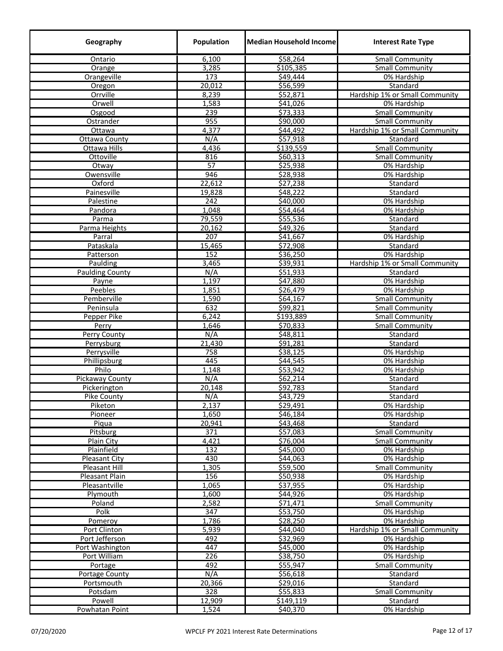| Geography              | Population       | <b>Median Household Incomel</b> | <b>Interest Rate Type</b>                        |
|------------------------|------------------|---------------------------------|--------------------------------------------------|
| Ontario                | 6,100            | \$58,264                        | Small Community                                  |
| Orange                 | 3,285            | \$105,385                       | <b>Small Community</b>                           |
| Orangeville            | 173              | \$49,444                        | 0% Hardship                                      |
| Oregon                 | 20,012           | \$56,599                        | Standard                                         |
| Orrville               | 8,239            | \$52,871                        | Hardship 1% or Small Community                   |
| Orwell                 | 1,583            | 541,026                         | 0% Hardship                                      |
| Osgood                 | 239              | \$73,333                        | <b>Small Community</b>                           |
| Ostrander              | 955              | \$90,000                        | <b>Small Community</b>                           |
| Ottawa                 | 4,377            | \$44,492                        | Hardship 1% or Small Community                   |
| <b>Ottawa County</b>   | N/A              | \$57,918                        | Standard                                         |
| Ottawa Hills           | 4,436            | \$139,559                       | <b>Small Community</b>                           |
| Ottoville              | 816              | \$60,313                        | <b>Small Community</b>                           |
| Otway                  | 57               | \$25,938                        | 0% Hardship                                      |
| Owensville             | 946              | \$28,938                        | 0% Hardship                                      |
| Oxford                 | 22,612           | \$27,238                        | Standard                                         |
| Painesville            | 19,828           | \$48,222                        | Standard                                         |
| Palestine              | 242              | \$40,000                        | 0% Hardship                                      |
| Pandora                | 1,048            | \$54,464                        | 0% Hardship                                      |
| Parma                  | 79,559           | \$55,536                        | Standard                                         |
| Parma Heights          | 20,162           | \$49,326                        | Standard                                         |
| Parral                 | $\overline{207}$ | \$41,667                        | 0% Hardship                                      |
| Pataskala              | 15,465           | \$72,908                        | Standard                                         |
| Patterson              | 152              | \$36,250                        | 0% Hardship                                      |
| Paulding               | 3,465            | \$39,931                        | Hardship 1% or Small Community                   |
| <b>Paulding County</b> | N/A              | \$51,933                        | Standard                                         |
| Payne                  | 1,197            | \$47,880                        | 0% Hardship                                      |
| Peebles                | 1,851            | \$26,479                        | 0% Hardship                                      |
| Pemberville            | 1,590            | \$64,167                        | <b>Small Community</b>                           |
| Peninsula              | 632              | \$99,821                        | <b>Small Community</b>                           |
| Pepper Pike            | 6,242<br>1,646   | \$193,889<br>\$70,833           | <b>Small Community</b><br><b>Small Community</b> |
| Perry<br>Perry County  | N/A              | \$48,811                        | Standard                                         |
| Perrysburg             | 21,430           | \$91,281                        | Standard                                         |
| Perrysville            | 758              | \$38,125                        | 0% Hardship                                      |
| Phillipsburg           | 445              | \$44,545                        | 0% Hardship                                      |
| Philo                  | 1,148            | 553,942                         | 0% Hardship                                      |
| <b>Pickaway County</b> | N/A              | \$62,214                        | Standard                                         |
| Pickerington           | 20,148           | 592,783                         | Standard                                         |
| Pike County            | N/A              | \$43,729                        | Standard                                         |
| Piketon                | 2,137            | \$29,491                        | 0% Hardship                                      |
| Pioneer                | 1,650            | \$46,184                        | 0% Hardship                                      |
| Piqua                  | 20,941           | \$43,468                        | Standard                                         |
| Pitsburg               | 371              | \$57,083                        | <b>Small Community</b>                           |
| Plain City             | 4,421            | \$76,004                        | <b>Small Community</b>                           |
| Plainfield             | 132              | \$45,000                        | 0% Hardship                                      |
| <b>Pleasant City</b>   | 430              | \$44,063                        | 0% Hardship                                      |
| <b>Pleasant Hill</b>   | 1,305            | \$59,500                        | <b>Small Community</b>                           |
| Pleasant Plain         | 156              | \$50,938                        | 0% Hardship                                      |
| Pleasantville          | 1,065            | \$37,955                        | 0% Hardship                                      |
| Plymouth               | 1,600            | \$44,926                        | 0% Hardship                                      |
| Poland                 | 2,582            | \$71,471                        | <b>Small Community</b>                           |
| Polk                   | 347              | \$53,750                        | 0% Hardship                                      |
| Pomeroy                | 1,786            | \$28,250                        | 0% Hardship                                      |
| Port Clinton           | 5,939            | \$44,040                        | Hardship 1% or Small Community                   |
| Port Jefferson         | 492              | \$32,969                        | 0% Hardship                                      |
| Port Washington        | 447              | 545,000                         | 0% Hardship                                      |
| Port William           | 226              | \$38,750                        | 0% Hardship                                      |
| Portage                | 492              | \$55,947                        | <b>Small Community</b>                           |
| Portage County         | N/A              | \$56,618                        | Standard                                         |
| Portsmouth             | 20,366           | \$29,016                        | Standard                                         |
| Potsdam                | $\overline{328}$ | \$55,833                        | <b>Small Community</b>                           |
| Powell                 | 12,909           | \$149,119                       | Standard                                         |
| Powhatan Point         | 1,524            | \$40,370                        | 0% Hardship                                      |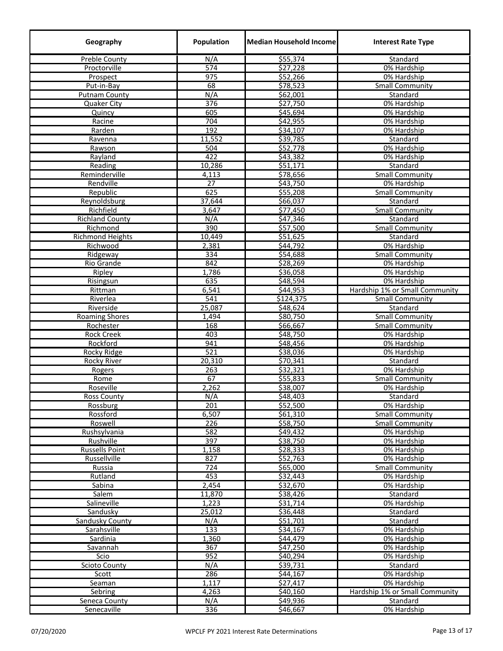| Geography               | Population       | <b>Median Household Income</b> | <b>Interest Rate Type</b>                        |
|-------------------------|------------------|--------------------------------|--------------------------------------------------|
| <b>Preble County</b>    | N/A              | \$55,374                       | Standard                                         |
| Proctorville            | 574              | \$27,228                       | 0% Hardship                                      |
| Prospect                | 975              | \$52,266                       | 0% Hardship                                      |
| Put-in-Bay              | 68               | \$78,523                       | <b>Small Community</b>                           |
| <b>Putnam County</b>    | N/A              | \$62,001                       | Standard                                         |
| Quaker City             | $\overline{376}$ | \$27,750                       | 0% Hardship                                      |
| Quincy                  | 605              | \$45,694                       | 0% Hardship                                      |
| Racine                  | 704<br>192       | \$42,955                       | 0% Hardship                                      |
| Rarden<br>Ravenna       | 11,552           | \$34,107<br>\$39,785           | 0% Hardship<br>Standard                          |
| Rawson                  | 504              | \$52,778                       | 0% Hardship                                      |
| Rayland                 | 422              | \$43,382                       | 0% Hardship                                      |
| Reading                 | 10,286           | \$51,171                       | Standard                                         |
| Reminderville           | 4,113            | \$78,656                       | <b>Small Community</b>                           |
| Rendville               | 27               | \$43,750                       | 0% Hardship                                      |
| Republic                | 625              | \$55,208                       | <b>Small Community</b>                           |
| Reynoldsburg            | 37,644           | \$66,037                       | Standard                                         |
| Richfield               | 3,647            | \$77,450                       | <b>Small Community</b>                           |
| <b>Richland County</b>  | N/A              | \$47,346                       | Standard                                         |
| Richmond                | 390              | \$57,500                       | <b>Small Community</b>                           |
| <b>Richmond Heights</b> | 10,449           | \$51,625                       | Standard                                         |
| Richwood                | 2,381            | \$44,792                       | 0% Hardship                                      |
| Ridgeway                | 334              | \$54,688                       | <b>Small Community</b>                           |
| Rio Grande              | 842              | \$28,269                       | 0% Hardship                                      |
| Ripley                  | 1,786            | \$36,058<br>\$48,594           | 0% Hardship                                      |
| Risingsun<br>Rittman    | 635<br>6,541     | \$44,953                       | 0% Hardship<br>Hardship 1% or Small Community    |
| Riverlea                | 541              | \$124,375                      | <b>Small Community</b>                           |
| Riverside               | 25,087           | \$48,624                       | Standard                                         |
| <b>Roaming Shores</b>   | 1,494            | \$80,750                       | <b>Small Community</b>                           |
| Rochester               | 168              | \$66,667                       | <b>Small Community</b>                           |
| <b>Rock Creek</b>       | 403              | \$48,750                       | 0% Hardship                                      |
| Rockford                | 941              | \$48,456                       | 0% Hardship                                      |
| Rocky Ridge             | 521              | \$38,036                       | 0% Hardship                                      |
| <b>Rocky River</b>      | 20,310           | \$70,341                       | Standard                                         |
| Rogers                  | 263              | \$32,321                       | 0% Hardship                                      |
| Rome                    | 67               | \$55,833                       | <b>Small Community</b>                           |
| Roseville               | 2,262            | \$38,007                       | 0% Hardship                                      |
| <b>Ross County</b>      | N/A              | \$48,403                       | <b>Standard</b>                                  |
| Rossburg                | 201              | \$52,500<br>\$61,310           | 0% Hardship                                      |
| Rossford<br>Roswell     | 6,507<br>226     | \$58,750                       | <b>Small Community</b><br><b>Small Community</b> |
| Rushsylvania            | 582              | \$49,432                       | $\overline{0\%}$ Hardship                        |
| Rushville               | 397              | \$38,750                       | 0% Hardship                                      |
| <b>Russells Point</b>   | 1,158            | \$28,333                       | 0% Hardship                                      |
| Russellville            | 827              | \$52,763                       | 0% Hardship                                      |
| Russia                  | 724              | \$65,000                       | <b>Small Community</b>                           |
| Rutland                 | 453              | \$32,443                       | 0% Hardship                                      |
| Sabina                  | 2,454            | \$32,670                       | 0% Hardship                                      |
| Salem                   | 11,870           | \$38,426                       | Standard                                         |
| Salineville             | 1,223            | \$31,714                       | 0% Hardship                                      |
| Sandusky                | 25,012           | \$36,448                       | Standard                                         |
| Sandusky County         | N/A              | \$51,701                       | Standard                                         |
| Sarahsville             | 133              | \$34,167                       | 0% Hardship                                      |
| Sardinia                | 1,360            | \$44,479                       | 0% Hardship                                      |
| Savannah<br>Scio        | 367<br>952       | \$47,250<br>\$40,294           | 0% Hardship<br>0% Hardship                       |
| <b>Scioto County</b>    | N/A              | 539,731                        | Standard                                         |
| Scott                   | 286              | \$44,167                       | 0% Hardship                                      |
| Seaman                  | 1,117            | \$27,417                       | 0% Hardship                                      |
| Sebring                 | 4,263            | \$40,160                       | Hardship 1% or Small Community                   |
| Seneca County           | N/A              | \$49,936                       | Standard                                         |
| Senecaville             | 336              | \$46,667                       | 0% Hardship                                      |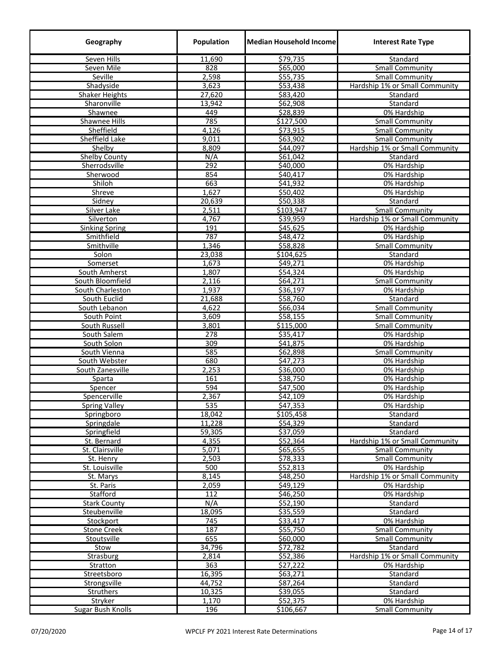| Geography                | Population | <b>Median Household Income</b> | <b>Interest Rate Type</b>      |
|--------------------------|------------|--------------------------------|--------------------------------|
| Seven Hills              | 11,690     | \$79,735                       | Standard                       |
| Seven Mile               | 828        | \$65,000                       | <b>Small Community</b>         |
| Seville                  | 2,598      | \$55,735                       | <b>Small Community</b>         |
| Shadyside                | 3,623      | \$53,438                       | Hardship 1% or Small Community |
| <b>Shaker Heights</b>    | 27,620     | \$83,420                       | Standard                       |
| Sharonville              | 13,942     | \$62,908                       | Standard                       |
| Shawnee                  | 449        | \$28,839                       | 0% Hardship                    |
| Shawnee Hills            | 785        | \$127,500                      | <b>Small Community</b>         |
| Sheffield                | 4,126      | \$73,915                       | <b>Small Community</b>         |
| Sheffield Lake           | 9,011      | \$63,902                       | <b>Small Community</b>         |
| Shelby                   | 8,809      | \$44,097                       | Hardship 1% or Small Community |
| <b>Shelby County</b>     | N/A        | \$61,042                       | Standard                       |
| Sherrodsville            | 292        | \$40,000                       | 0% Hardship                    |
| Sherwood                 | 854        | \$40,417                       | 0% Hardship                    |
| Shiloh                   | 663        | \$41,932                       | 0% Hardship                    |
| Shreve                   | 1,627      | \$50,402                       | 0% Hardship                    |
| Sidney                   | 20,639     | \$50,338                       | Standard                       |
| Silver Lake              | 2,511      | \$103,947                      | <b>Small Community</b>         |
| Silverton                | 4,767      | \$39,959                       | Hardship 1% or Small Community |
| <b>Sinking Spring</b>    | 191        | \$45,625                       | 0% Hardship                    |
| Smithfield               | 787        | 548,472                        | 0% Hardship                    |
| Smithville               | 1,346      | \$58,828                       | <b>Small Community</b>         |
| Solon                    | 23,038     | \$104,625                      | Standard                       |
| Somerset                 | 1,673      | \$49,271                       | 0% Hardship                    |
| South Amherst            | 1,807      | \$54,324                       | 0% Hardship                    |
| South Bloomfield         | 2,116      | \$64,271                       | <b>Small Community</b>         |
| South Charleston         | 1,937      | \$36,197                       | 0% Hardship                    |
| South Euclid             | 21,688     | \$58,760                       | Standard                       |
| South Lebanon            | 4,622      | \$66,034                       | <b>Small Community</b>         |
| South Point              | 3,609      | \$58,155                       | <b>Small Community</b>         |
| South Russell            | 3,801      | \$115,000                      | Small Community                |
| South Salem              | 278        | \$35,417                       | 0% Hardship                    |
| South Solon              | 309        | \$41,875                       | 0% Hardship                    |
| South Vienna             | 585        | \$62,898                       | <b>Small Community</b>         |
| South Webster            | 680        | \$47,273                       | 0% Hardship                    |
| South Zanesville         | 2,253      | \$36,000                       | 0% Hardship                    |
| Sparta                   | 161        | \$38,750                       | 0% Hardship                    |
| Spencer                  | 594        | \$47,500                       | 0% Hardship                    |
| Spencerville             | 2,367      | \$42,109                       | 0% Hardship                    |
| <b>Spring Valley</b>     | 535        | \$47,353                       | 0% Hardship                    |
| Springboro               | 18,042     | \$105,458                      | Standard                       |
| Springdale               | 11,228     | \$54,329                       | Standard                       |
| Springfield              | 59,305     | \$37,059                       | Standard                       |
| St. Bernard              | 4,355      | \$52,364                       | Hardship 1% or Small Community |
| St. Clairsville          | 5,071      | \$65,655                       | <b>Small Community</b>         |
| St. Henry                | 2,503      | \$78,333                       | <b>Small Community</b>         |
| St. Louisville           | 500        | \$52,813                       | 0% Hardship                    |
| St. Marys                | 8,145      | \$48,250                       | Hardship 1% or Small Community |
| St. Paris                | 2,059      | \$49,129                       | 0% Hardship                    |
| Stafford                 | 112        | \$46,250                       | 0% Hardship                    |
| <b>Stark County</b>      | N/A        | \$52,190                       | Standard                       |
| Steubenville             | 18,095     | \$35,559                       | Standard                       |
| Stockport                | 745        | \$33,417                       | 0% Hardship                    |
| <b>Stone Creek</b>       | 187        | \$55,750                       | <b>Small Community</b>         |
| Stoutsville              | 655        | \$60,000                       | <b>Small Community</b>         |
| Stow                     | 34,796     | \$72,782                       | Standard                       |
| Strasburg                | 2,814      | \$52,386                       | Hardship 1% or Small Community |
| Stratton                 | 363        | \$27,222                       | 0% Hardship                    |
| Streetsboro              | 16,395     | \$63,271                       | Standard                       |
| Strongsville             | 44,752     | \$87,264                       | Standard                       |
| <b>Struthers</b>         | 10,325     | \$39,055                       | Standard                       |
| Stryker                  | 1,170      | \$52,375                       | 0% Hardship                    |
| <b>Sugar Bush Knolls</b> | 196        | \$106,667                      | <b>Small Community</b>         |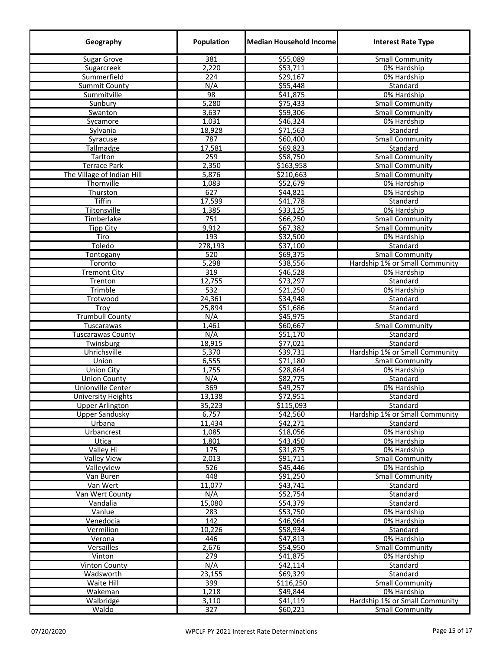| Geography                  | Population | <b>Median Household Income</b> | <b>Interest Rate Type</b>      |
|----------------------------|------------|--------------------------------|--------------------------------|
| <b>Sugar Grove</b>         | 381        | \$55,089                       | <b>Small Community</b>         |
| Sugarcreek                 | 2,220      | \$53,711                       | 0% Hardship                    |
| Summerfield                | 224        | \$29,167                       | 0% Hardship                    |
| <b>Summit County</b>       | N/A        | \$55,448                       | Standard                       |
| Summitville                | 98         | \$41,875                       | 0% Hardship                    |
| Sunbury                    | 5,280      | \$75,433                       | <b>Small Community</b>         |
| Swanton                    | 3,637      | \$59,306                       | <b>Small Community</b>         |
| Sycamore                   | 1,031      | \$46,324                       | 0% Hardship                    |
| Sylvania                   | 18,928     | \$71,563                       | Standard                       |
| Syracuse                   | 787        | \$60,400                       | <b>Small Community</b>         |
| Tallmadge                  | 17,581     | 569,823                        | Standard                       |
| Tarlton                    | 259        | \$58,750                       | <b>Small Community</b>         |
| <b>Terrace Park</b>        | 2,350      | \$163,958                      | <b>Small Community</b>         |
| The Village of Indian Hill | 5,876      | \$210,663                      | <b>Small Community</b>         |
| Thornville                 | 1,083      | \$52,679                       | 0% Hardship                    |
| Thurston                   | 627        | \$44,821                       | 0% Hardship                    |
| <b>Tiffin</b>              | 17,599     | \$41,778                       | Standard                       |
| Tiltonsville               | 1,385      | 533,125                        | 0% Hardship                    |
| Timberlake                 | 751        | \$66,250                       | <b>Small Community</b>         |
| <b>Tipp City</b>           | 9,912      | \$67,382                       | <b>Small Community</b>         |
| Tiro                       | 193        | \$32,500                       | 0% Hardship                    |
| Toledo                     | 278,193    | \$37,100                       | Standard                       |
| Tontogany                  | 520        | 569,375                        | <b>Small Community</b>         |
| Toronto                    | 5,298      | \$38,556                       | Hardship 1% or Small Community |
| <b>Tremont City</b>        | 319        | \$46,528                       | 0% Hardship                    |
| Trenton                    | 12,755     | 573,297                        | Standard                       |
| Trimble                    | 532        | \$21,250                       | 0% Hardship                    |
| Trotwood                   | 24,361     | \$34,948                       | Standard                       |
| Troy                       | 25,894     | \$51,686                       | Standard                       |
| <b>Trumbull County</b>     | N/A        | \$45,975                       | Standard                       |
| Tuscarawas                 | 1,461      | \$60,667                       | <b>Small Community</b>         |
| <b>Tuscarawas County</b>   | N/A        | \$51,170                       | Standard                       |
| Twinsburg                  | 18,915     | \$77,021                       | Standard                       |
| Uhrichsville               | 5,370      | \$39,731                       | Hardship 1% or Small Community |
| Union                      | 6,555      | \$71,180                       | <b>Small Community</b>         |
| <b>Union City</b>          | 1,755      | \$28,864                       | 0% Hardship                    |
| <b>Union County</b>        | N/A        | \$82,775                       | Standard                       |
| <b>Unionville Center</b>   | 369        | \$49,257                       | 0% Hardship                    |
| <b>University Heights</b>  | 13,138     | \$72,951                       | Standard                       |
| <b>Upper Arlington</b>     | 35,223     | \$115,093                      | Standard                       |
| <b>Upper Sandusky</b>      | 6,757      | \$42,560                       | Hardship 1% or Small Community |
| Urbana                     | 11,434     | \$42,271                       | Standard                       |
| Urbancrest                 | 1,085      | \$18,056                       | 0% Hardship                    |
| Utica                      | 1,801      | \$43,450                       | 0% Hardship                    |
| Valley Hi                  | 175        | \$31,875                       | 0% Hardship                    |
| <b>Valley View</b>         | 2,013      | 591,711                        | Small Community                |
| Valleyview                 | 526        | \$45,446                       | 0% Hardship                    |
| Van Buren                  | 448        | \$91,250                       | <b>Small Community</b>         |
| Van Wert                   | 11,077     | \$43,741                       | Standard                       |
| Van Wert County            | N/A        | \$52,754                       | Standard                       |
| Vandalia                   | 15,080     | 554,379                        | Standard                       |
| Vanlue                     | 283        | \$53,750                       | 0% Hardship                    |
| Venedocia                  | 142        | \$46,964                       | 0% Hardship                    |
| Vermilion                  | 10,226     | \$58,934                       | Standard                       |
| Verona                     | 446        | \$47,813                       | 0% Hardship                    |
| Versailles                 | 2,676      | \$54,950                       | <b>Small Community</b>         |
| Vinton                     | 279        | \$41,875                       | 0% Hardship                    |
| <b>Vinton County</b>       | N/A        | \$42,114                       | Standard                       |
| Wadsworth                  | 23,155     | \$69,329                       | Standard                       |
| Waite Hill                 | 399        | \$116,250                      | <b>Small Community</b>         |
| Wakeman                    | 1,218      | \$49,844                       | 0% Hardship                    |
| Walbridge                  | 3,110      | \$41,119                       | Hardship 1% or Small Community |
| Waldo                      | 327        | \$60,221                       | <b>Small Community</b>         |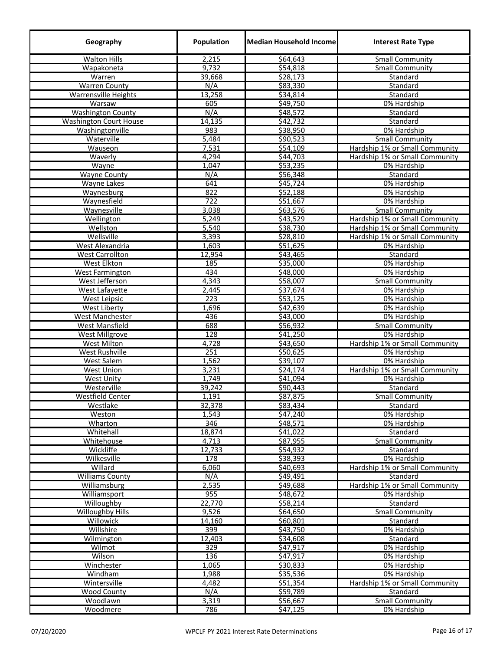| Geography                              | Population          | <b>Median Household Income</b> | <b>Interest Rate Type</b>                     |
|----------------------------------------|---------------------|--------------------------------|-----------------------------------------------|
| <b>Walton Hills</b>                    | 2,215               | \$64,643                       | <b>Small Community</b>                        |
| Wapakoneta                             | 9,732               | \$54,818                       | <b>Small Community</b>                        |
| Warren                                 | 39,668              | \$28,173                       | Standard                                      |
| <b>Warren County</b>                   | N/A                 | \$83,330                       | Standard                                      |
| <b>Warrensville Heights</b>            | 13,258              | 534,814                        | Standard                                      |
| Warsaw                                 | 605                 | \$49,750                       | 0% Hardship                                   |
| <b>Washington County</b>               | N/A                 | \$48,572                       | Standard                                      |
| <b>Washington Court House</b>          | 14,135              | \$42,732                       | Standard                                      |
| Washingtonville                        | 983                 | \$38,950                       | 0% Hardship                                   |
| Waterville                             | 5,484               | \$90,523                       | <b>Small Community</b>                        |
| Wauseon                                | 7,531               | \$54,109                       | Hardship 1% or Small Community                |
| Waverly                                | 4,294               | \$44,703                       | Hardship 1% or Small Community                |
| Wayne                                  | 1,047               | \$53,235                       | 0% Hardship                                   |
| <b>Wayne County</b>                    | N/A                 | \$56,348                       | Standard                                      |
| <b>Wayne Lakes</b>                     | 641                 | \$45,724                       | 0% Hardship                                   |
| Waynesburg                             | 822                 | \$52,188                       | 0% Hardship                                   |
| Waynesfield                            | 722                 | \$51,667                       | 0% Hardship                                   |
| Waynesville                            | 3,038               | \$63,576                       | <b>Small Community</b>                        |
| Wellington                             | 5,249               | \$43,529                       | Hardship 1% or Small Community                |
| Wellston                               | 5,540               | \$38,730                       | Hardship 1% or Small Community                |
| Wellsville                             | 3,393               | \$28,810                       | Hardship 1% or Small Community                |
| West Alexandria                        | 1,603               | \$51,625                       | 0% Hardship                                   |
| <b>West Carrollton</b>                 | 12,954              | \$43,465                       | Standard                                      |
| <b>West Elkton</b>                     | 185                 | \$35,000                       | 0% Hardship                                   |
| <b>West Farmington</b>                 | 434                 | \$48,000                       | 0% Hardship                                   |
| West Jefferson                         | 4,343               | \$58,007                       | <b>Small Community</b>                        |
| West Lafayette                         | 2,445               | \$37,674                       | 0% Hardship                                   |
| West Leipsic                           | 223                 | \$53,125                       | 0% Hardship                                   |
| <b>West Liberty</b>                    | 1,696               | \$42,639                       | 0% Hardship                                   |
| West Manchester                        | 436                 | \$43,000                       | 0% Hardship                                   |
| West Mansfield                         | 688                 | 556,932                        | <b>Small Community</b>                        |
| <b>West Millgrove</b>                  | 128                 | \$41,250                       | 0% Hardship                                   |
| <b>West Milton</b>                     | 4,728               | \$43,650                       | Hardship 1% or Small Community<br>0% Hardship |
| West Rushville                         | 251                 | \$50,625                       |                                               |
| <b>West Salem</b><br><b>West Union</b> | 1,562<br>3,231      | \$39,107<br>\$24,174           | 0% Hardship<br>Hardship 1% or Small Community |
| <b>West Unity</b>                      | 1,749               | \$41,094                       | 0% Hardship                                   |
| Westerville                            | 39,242              | 590,443                        | Standard                                      |
| <b>Westfield Center</b>                | 1,191               | \$87,875                       | <b>Small Community</b>                        |
| Westlake                               | 32,378              | \$83,434                       | Standard                                      |
| Weston                                 | 1,543               | \$47,240                       | 0% Hardship                                   |
| Wharton                                | 346                 | \$48,571                       | 0% Hardship                                   |
| Whitehall                              | 18,874              | \$41,022                       | Standard                                      |
| Whitehouse                             | 4,713               | \$87,955                       | <b>Small Community</b>                        |
| Wickliffe                              | 12,733              | 554,932                        | Standard                                      |
| Wilkesville                            | 178                 | \$38,393                       | 0% Hardship                                   |
| Willard                                | 6,060               | \$40,693                       | Hardship 1% or Small Community                |
| <b>Williams County</b>                 | N/A                 | \$49,491                       | Standard                                      |
| Williamsburg                           | 2,535               | \$49,688                       | Hardship 1% or Small Community                |
| <b>Williamsport</b>                    | 955                 | \$48,672                       | 0% Hardship                                   |
| Willoughby                             | $\overline{22,770}$ | \$58,214                       | Standard                                      |
| <b>Willoughby Hills</b>                | 9,526               | \$64,650                       | <b>Small Community</b>                        |
| Willowick                              | 14,160              | \$60,801                       | Standard                                      |
| Willshire                              | 399                 | \$43,750                       | 0% Hardship                                   |
| Wilmington                             | 12,403              | \$34,608                       | Standard                                      |
| Wilmot                                 | 329                 | \$47,917                       | 0% Hardship                                   |
| Wilson                                 | 136                 | \$47,917                       | 0% Hardship                                   |
| Winchester                             | 1,065               | \$30,833                       | 0% Hardship                                   |
| Windham                                | 1,988               | \$35,536                       | 0% Hardship                                   |
| Wintersville                           | 4,482               | \$51,354                       | Hardship 1% or Small Community                |
| Wood County                            | N/A                 | \$59,789                       | Standard                                      |
| Woodlawn                               | 3,319               | \$56,667                       | <b>Small Community</b>                        |
| Woodmere                               | 786                 | \$47,125                       | 0% Hardship                                   |